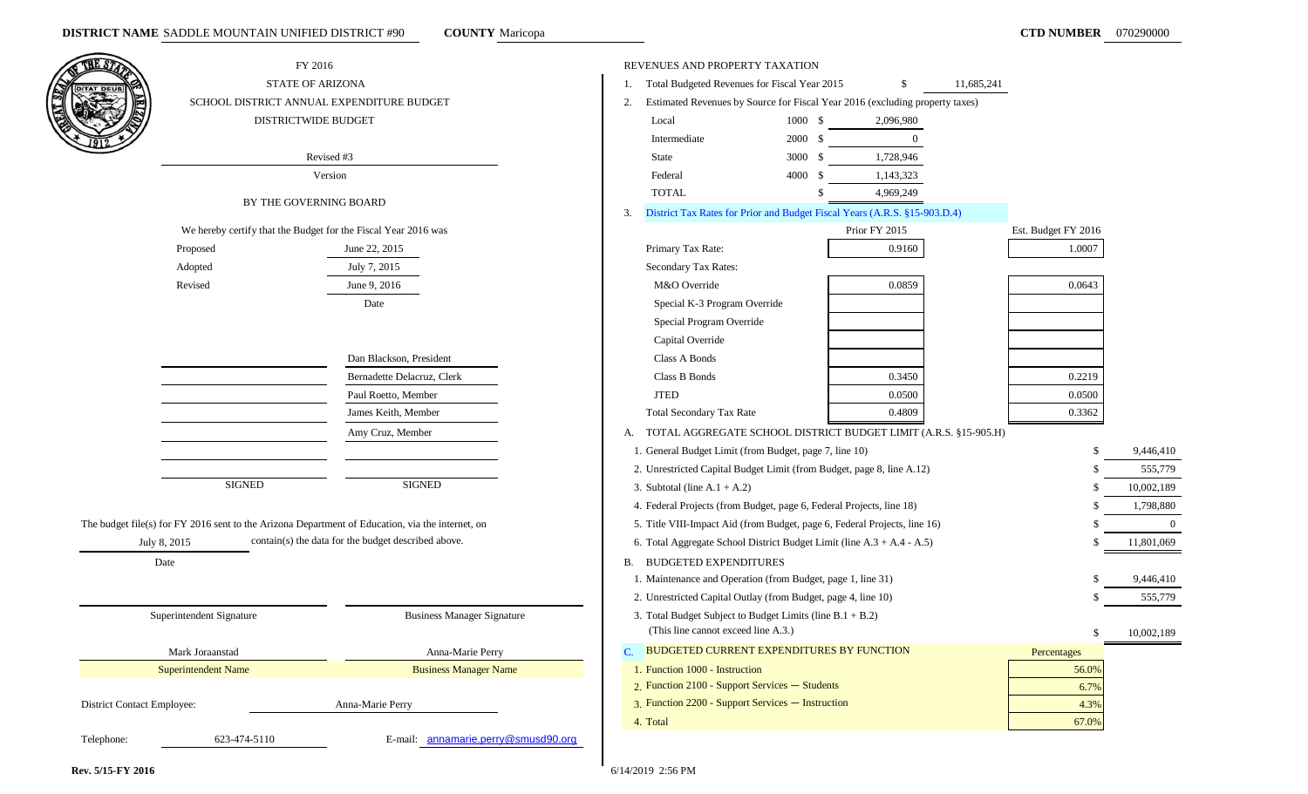**COUNTY** Maricopa

| THE ST                     | FY 2016                                                                                          |                                                     |              | REVENUES AND PROPERTY TAXATION                                                                   |         |               |            |                     |            |
|----------------------------|--------------------------------------------------------------------------------------------------|-----------------------------------------------------|--------------|--------------------------------------------------------------------------------------------------|---------|---------------|------------|---------------------|------------|
| <b>DITAT DEU</b>           | <b>STATE OF ARIZONA</b>                                                                          |                                                     | 1.           | Total Budgeted Revenues for Fiscal Year 2015                                                     |         | \$            | 11,685,241 |                     |            |
|                            | SCHOOL DISTRICT ANNUAL EXPENDITURE BUDGET                                                        |                                                     | 2.           | Estimated Revenues by Source for Fiscal Year 2016 (excluding property taxes)                     |         |               |            |                     |            |
|                            | DISTRICTWIDE BUDGET                                                                              |                                                     |              | Local                                                                                            | 1000 \$ | 2,096,980     |            |                     |            |
|                            |                                                                                                  |                                                     |              | Intermediate                                                                                     | 2000 \$ | $\Omega$      |            |                     |            |
|                            | Revised #3                                                                                       |                                                     |              | State                                                                                            | 3000 \$ | 1,728,946     |            |                     |            |
|                            | Version                                                                                          |                                                     |              | Federal                                                                                          | 4000 \$ | 1,143,323     |            |                     |            |
|                            | BY THE GOVERNING BOARD                                                                           |                                                     |              | <b>TOTAL</b>                                                                                     |         | 4,969,249     |            |                     |            |
|                            |                                                                                                  |                                                     | 3.           | District Tax Rates for Prior and Budget Fiscal Years (A.R.S. §15-903.D.4)                        |         |               |            |                     |            |
|                            | We hereby certify that the Budget for the Fiscal Year 2016 was                                   |                                                     |              |                                                                                                  |         | Prior FY 2015 |            | Est. Budget FY 2016 |            |
|                            | Proposed                                                                                         | June 22, 2015                                       |              | Primary Tax Rate:                                                                                |         | 0.9160        |            | 1.0007              |            |
|                            | Adopted                                                                                          | July 7, 2015                                        |              | Secondary Tax Rates:                                                                             |         |               |            |                     |            |
|                            | Revised                                                                                          | June 9, 2016                                        |              | M&O Override                                                                                     |         | 0.0859        |            | 0.0643              |            |
|                            |                                                                                                  | Date                                                |              | Special K-3 Program Override                                                                     |         |               |            |                     |            |
|                            |                                                                                                  |                                                     |              | Special Program Override                                                                         |         |               |            |                     |            |
|                            |                                                                                                  |                                                     |              | Capital Override                                                                                 |         |               |            |                     |            |
|                            |                                                                                                  | Dan Blackson, President                             |              | Class A Bonds                                                                                    |         |               |            |                     |            |
|                            |                                                                                                  | Bernadette Delacruz, Clerk                          |              | Class B Bonds                                                                                    |         | 0.3450        |            | 0.2219              |            |
|                            |                                                                                                  | Paul Roetto, Member                                 |              | <b>JTED</b>                                                                                      |         | 0.0500        |            | 0.0500              |            |
|                            |                                                                                                  | James Keith, Member                                 |              | <b>Total Secondary Tax Rate</b>                                                                  |         | 0.4809        |            | 0.3362              |            |
|                            |                                                                                                  | Amy Cruz, Member                                    | А.           | TOTAL AGGREGATE SCHOOL DISTRICT BUDGET LIMIT (A.R.S. §15-905.H)                                  |         |               |            |                     |            |
|                            |                                                                                                  |                                                     |              | 1. General Budget Limit (from Budget, page 7, line 10)                                           |         |               |            |                     | 9,446,410  |
|                            |                                                                                                  |                                                     |              | 2. Unrestricted Capital Budget Limit (from Budget, page 8, line A.12)                            |         |               |            |                     | 555,779    |
|                            | <b>SIGNED</b>                                                                                    | <b>SIGNED</b>                                       |              | 3. Subtotal (line $A.1 + A.2$ )                                                                  |         |               |            |                     | 10,002,189 |
|                            |                                                                                                  |                                                     |              | 4. Federal Projects (from Budget, page 6, Federal Projects, line 18)                             |         |               |            |                     | 1,798,880  |
|                            | The budget file(s) for FY 2016 sent to the Arizona Department of Education, via the internet, on |                                                     |              | 5. Title VIII-Impact Aid (from Budget, page 6, Federal Projects, line 16)                        |         |               |            |                     | $\Omega$   |
|                            | July 8, 2015                                                                                     | contain(s) the data for the budget described above. |              | 6. Total Aggregate School District Budget Limit (line A.3 + A.4 - A.5)                           |         |               |            |                     | 11,801,069 |
|                            | Date                                                                                             |                                                     | B.           | <b>BUDGETED EXPENDITURES</b>                                                                     |         |               |            |                     |            |
|                            |                                                                                                  |                                                     |              | 1. Maintenance and Operation (from Budget, page 1, line 31)                                      |         |               |            |                     | 9,446,410  |
|                            |                                                                                                  |                                                     |              | 2. Unrestricted Capital Outlay (from Budget, page 4, line 10)                                    |         |               |            |                     | 555,779    |
|                            | Superintendent Signature                                                                         | <b>Business Manager Signature</b>                   |              | 3. Total Budget Subject to Budget Limits (line B.1 + B.2)<br>(This line cannot exceed line A.3.) |         |               |            |                     | 10,002,189 |
|                            | Mark Joraanstad                                                                                  | Anna-Marie Perry                                    | $\mathbf{C}$ | BUDGETED CURRENT EXPENDITURES BY FUNCTION                                                        |         |               |            | Percentages         |            |
|                            | <b>Superintendent Name</b>                                                                       | <b>Business Manager Name</b>                        |              | 1. Function 1000 - Instruction                                                                   |         |               |            | 56.0%               |            |
|                            |                                                                                                  |                                                     |              | 2. Function 2100 - Support Services - Students                                                   |         |               |            | 6.7%                |            |
| District Contact Employee: |                                                                                                  | Anna-Marie Perry                                    |              | 3. Function 2200 - Support Services - Instruction                                                |         |               |            | 4.3%                |            |
|                            |                                                                                                  |                                                     |              | 4. Total                                                                                         |         |               |            | 67.0%               |            |
| Telephone:                 | 623-474-5110                                                                                     | E-mail: annamarie.perry@smusd90.org                 |              |                                                                                                  |         |               |            |                     |            |

 $\blacksquare$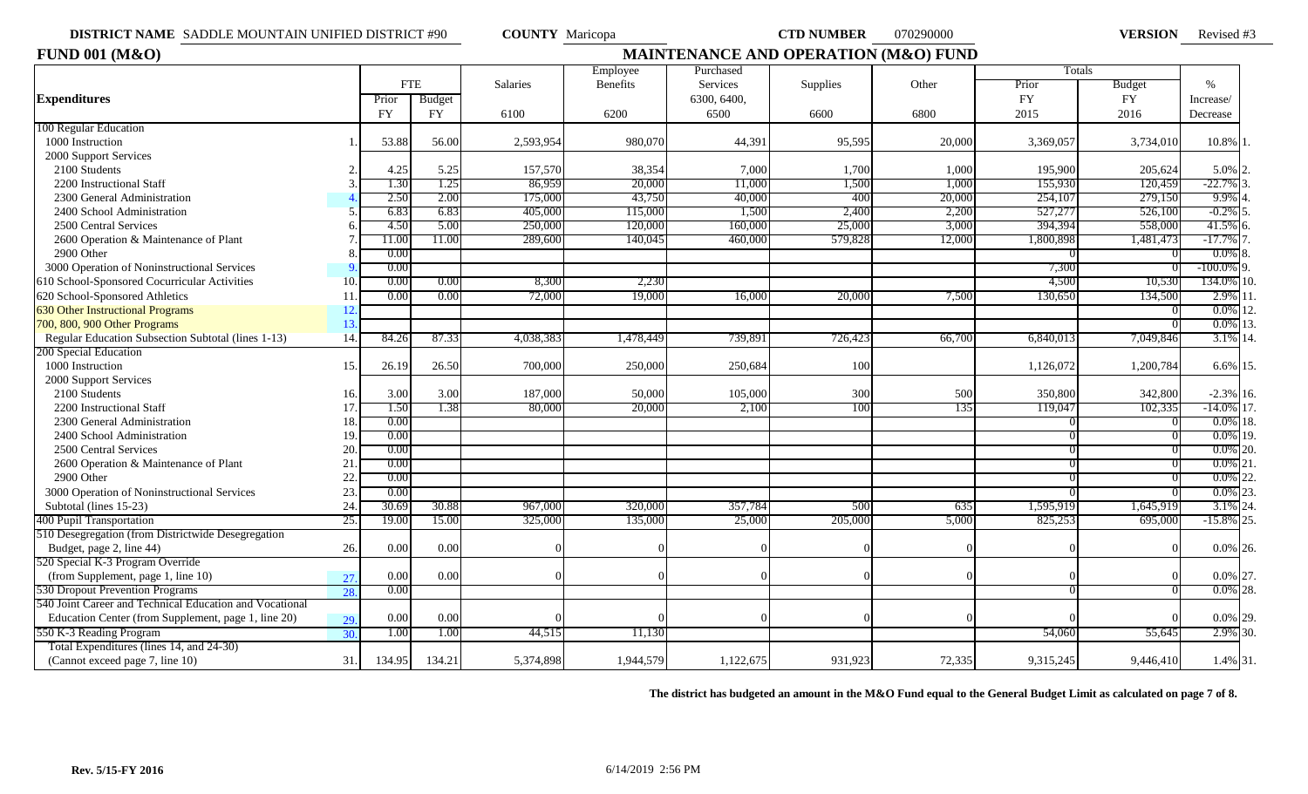**VERSION** Revised #3

| <b>FUND 001 (M&amp;O)</b>                               | <b>MAINTENANCE AND OPERATION (M&amp;O) FUND</b> |           |            |                 |                 |             |          |        |           |               |               |  |  |
|---------------------------------------------------------|-------------------------------------------------|-----------|------------|-----------------|-----------------|-------------|----------|--------|-----------|---------------|---------------|--|--|
|                                                         |                                                 |           |            |                 | Employee        | Purchased   |          |        | Totals    |               |               |  |  |
|                                                         |                                                 |           | <b>FTE</b> | <b>Salaries</b> | <b>Benefits</b> | Services    | Supplies | Other  | Prior     | <b>Budget</b> | $\%$          |  |  |
| <b>Expenditures</b>                                     |                                                 | Prior     | Budget     |                 |                 | 6300, 6400, |          |        | <b>FY</b> | <b>FY</b>     | Increase/     |  |  |
|                                                         |                                                 | <b>FY</b> | <b>FY</b>  | 6100            | 6200            | 6500        | 6600     | 6800   | 2015      | 2016          | Decrease      |  |  |
| 100 Regular Education                                   |                                                 |           |            |                 |                 |             |          |        |           |               |               |  |  |
| 1000 Instruction                                        |                                                 | 53.88     | 56.00      | 2,593,954       | 980,070         | 44,391      | 95,595   | 20,000 | 3,369,057 | 3,734,010     | 10.8% 1       |  |  |
| 2000 Support Services                                   |                                                 |           |            |                 |                 |             |          |        |           |               |               |  |  |
| 2100 Students                                           |                                                 | 4.25      | 5.25       | 157,570         | 38,354          | 7,000       | 1,700    | 1,000  | 195,900   | 205,624       | $5.0\%$ 2.    |  |  |
| 2200 Instructional Staff                                |                                                 | 1.30      | 1.25       | 86,959          | 20,000          | 11,000      | 1,500    | 1,000  | 155,930   | 120,459       | -22.7%        |  |  |
| 2300 General Administration                             |                                                 | 2.50      | 2.00       | 175,000         | 43,750          | 40,000      | 400      | 20,000 | 254,107   | 279,150       | 9.9%          |  |  |
| 2400 School Administration                              |                                                 | 6.83      | 6.83       | 405,000         | 115,000         | 1,500       | 2,400    | 2,200  | 527,277   | 526,100       | $-0.2\%$ 5    |  |  |
| 2500 Central Services                                   |                                                 | 4.50      | 5.00       | 250,00          | 120,000         | 160,000     | 25,000   | 3,000  | 394,394   | 558,000       | 41.5% 6.      |  |  |
| 2600 Operation & Maintenance of Plant                   |                                                 | 11.00     | 11.00      | 289,600         | 140,045         | 460,000     | 579,828  | 12,000 | 1,800,898 | 1,481,473     | -17.7% 7      |  |  |
| 2900 Other                                              |                                                 | 0.00      |            |                 |                 |             |          |        |           |               | $0.0\%$ 8.    |  |  |
| 3000 Operation of Noninstructional Services             |                                                 | 0.00      |            |                 |                 |             |          |        | 7,300     |               | $-100.0\%$ 9. |  |  |
| 610 School-Sponsored Cocurricular Activities            | 10.                                             | 0.00      | 0.00       | 8,300           | 2,230           |             |          |        | 4,500     | 10,530        | 134.0% 10.    |  |  |
| 620 School-Sponsored Athletics                          | 11                                              | 0.00      | 0.00       | 72,000          | 19,000          | 16,000      | 20,000   | 7.500  | 130,650   | 134,500       | 2.9% 11       |  |  |
| <b>630 Other Instructional Programs</b>                 | 12.                                             |           |            |                 |                 |             |          |        |           |               | $0.0\%$       |  |  |
| 700, 800, 900 Other Programs                            | 13.                                             |           |            |                 |                 |             |          |        |           |               | $0.0\%$ 13.   |  |  |
| Regular Education Subsection Subtotal (lines 1-13)      | 14.                                             | 84.26     | 87.33      | 4,038,383       | 1,478,449       | 739,891     | 726.423  | 66,700 | 6.840.013 | 7.049.846     | 3.1% 14.      |  |  |
| 200 Special Education                                   |                                                 |           |            |                 |                 |             |          |        |           |               |               |  |  |
| 1000 Instruction                                        | 15.                                             | 26.19     | 26.50      | 700,00          | 250,000         | 250,684     | 100      |        | 1,126,072 | 1,200,784     | 6.6% 15.      |  |  |
| 2000 Support Services                                   |                                                 |           |            |                 |                 |             |          |        |           |               |               |  |  |
| 2100 Students                                           | 16.                                             | 3.00      | 3.00       | 187,000         | 50,000          | 105,000     | 300      | 500    | 350,800   | 342,800       | $-2.3\%$ 16.  |  |  |
| 2200 Instructional Staff                                | 17.                                             | 1.50      | 1.38       | 80,000          | 20,000          | 2,100       | 100      | 135    | 119,047   | 102,335       | $-14.0\%$ 17. |  |  |
| 2300 General Administration                             | 18.                                             | 0.00      |            |                 |                 |             |          |        |           |               | $0.0\%$ 18.   |  |  |
| 2400 School Administration                              | 19.                                             | 0.00      |            |                 |                 |             |          |        |           |               | 0.0% 19.      |  |  |
| 2500 Central Services                                   | 20                                              | 0.00      |            |                 |                 |             |          |        |           |               | $0.0\%$ 20.   |  |  |
| 2600 Operation & Maintenance of Plant                   | 21                                              | 0.00      |            |                 |                 |             |          |        |           |               | $0.0\%$ 21    |  |  |
| 2900 Other                                              | 22                                              | 0.00      |            |                 |                 |             |          |        |           |               | $0.0\%$       |  |  |
| 3000 Operation of Noninstructional Services             | 23.                                             | 0.00      |            |                 |                 |             |          |        |           |               | $0.0\%$ 23.   |  |  |
| Subtotal (lines 15-23)                                  | 24.                                             | 30.69     | 30.88      | 967,000         | 320,000         | 357,784     | 500      | 635    | 1,595,919 | 1,645,919     | $3.1\%$ 24    |  |  |
| 400 Pupil Transportation                                | 25.                                             | 19.00     | 15.00      | 325,000         | 135,000         | 25,000      | 205,000  | 5,000  | 825,253   | 695,000       | $-15.8\%$ 25  |  |  |
| 510 Desegregation (from Districtwide Desegregation      |                                                 |           |            |                 |                 |             |          |        |           |               |               |  |  |
| Budget, page 2, line 44)                                | 26.                                             | 0.00      | 0.00       |                 |                 |             |          |        |           |               | $0.0\%$ 26.   |  |  |
| 520 Special K-3 Program Override                        |                                                 |           |            |                 |                 |             |          |        |           |               |               |  |  |
| (from Supplement, page 1, line 10)                      | 27.                                             | 0.00      | 0.00       |                 |                 |             |          |        |           |               | 0.0% 27.      |  |  |
| 530 Dropout Prevention Programs                         | 28.                                             | 0.00      |            |                 |                 |             |          |        |           |               | $0.0\%$ 28.   |  |  |
| 540 Joint Career and Technical Education and Vocational |                                                 |           |            |                 |                 |             |          |        |           |               |               |  |  |
| Education Center (from Supplement, page 1, line 20)     | 29.                                             | 0.00      | 0.00       |                 |                 |             |          |        |           |               | $0.0\%$ 29.   |  |  |
| 550 K-3 Reading Program                                 | 30.                                             | 1.00      | 1.00       | 44,515          | 11,130          |             |          |        | 54,060    | 55,645        | 2.9% 30.      |  |  |
| Total Expenditures (lines 14, and 24-30)                |                                                 |           |            |                 |                 |             |          |        |           |               |               |  |  |
| (Cannot exceed page 7, line 10)                         | 31.                                             | 134.95    | 134.21     | 5,374,898       | 1,944,579       | 1,122,675   | 931,923  | 72,335 | 9,315,245 | 9,446,410     | 1.4% 31.      |  |  |

**The district has budgeted an amount in the M&O Fund equal to the General Budget Limit as calculated on page 7 of 8.**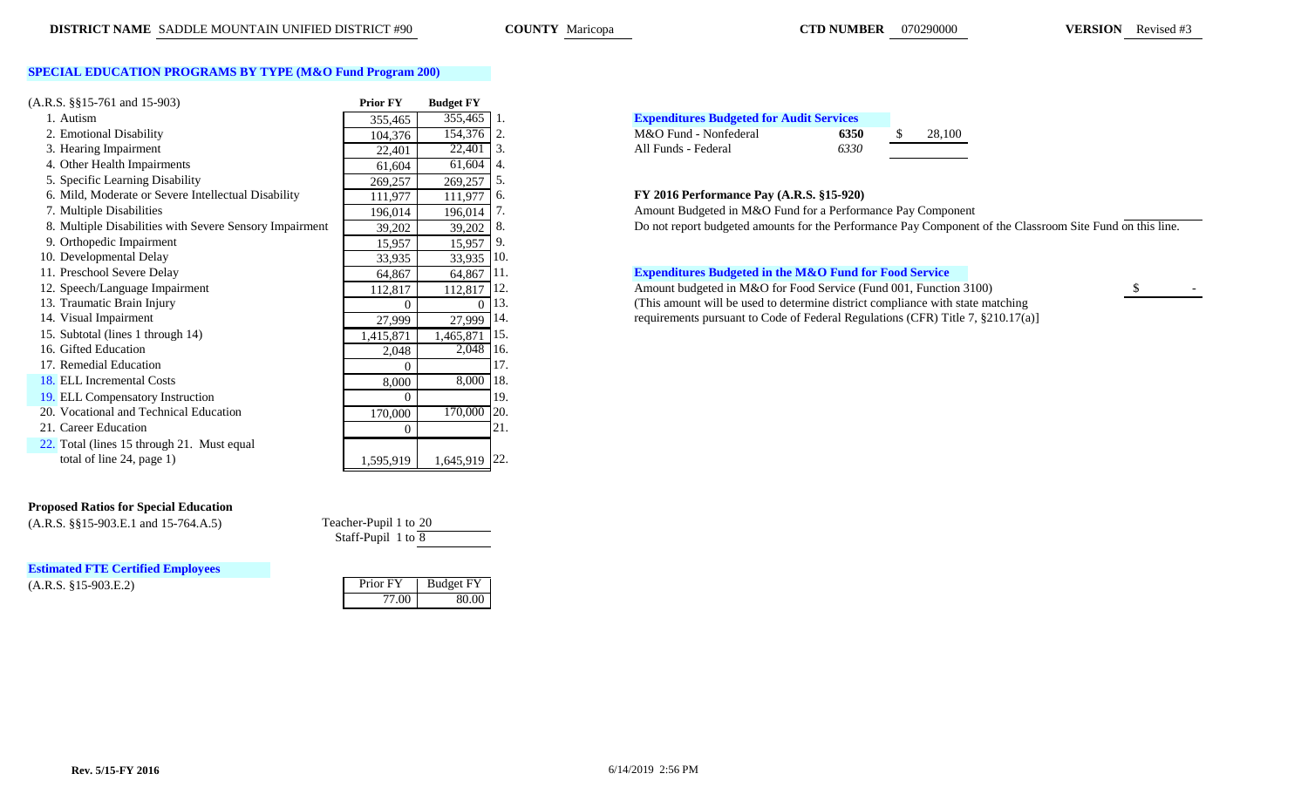COUNTY Maricopa

**CTD NUMBER** 070290000 **VERSION** Revised #3

# **SPECIAL EDUCATION PROGRAMS BY TYPE (M&O Fund Program 200)**

| $(A.R.S. \S\S15-761 \text{ and } 15-903)$               | <b>Prior FY</b> | <b>Budget FY</b> |       |                                                                   |      |        |
|---------------------------------------------------------|-----------------|------------------|-------|-------------------------------------------------------------------|------|--------|
| 1. Autism                                               | 355,465         | 355,465          |       | <b>Expenditures Budgeted for Audit Services</b>                   |      |        |
| 2. Emotional Disability                                 | 104,376         | 154,376          | 2.    | M&O Fund - Nonfederal                                             | 6350 | 28,100 |
| 3. Hearing Impairment                                   | 22,401          | 22,401           | 3.    | All Funds - Federal                                               | 6330 |        |
| 4. Other Health Impairments                             | 61,604          | 61,604           | 4.    |                                                                   |      |        |
| 5. Specific Learning Disability                         | 269,257         | 269,257          | 5.    |                                                                   |      |        |
| 6. Mild, Moderate or Severe Intellectual Disability     | 111,977         | 111,977          | 6.    | FY 2016 Performance Pay (A.R.S. §15-920)                          |      |        |
| 7. Multiple Disabilities                                | 196,014         | 196,014          |       | Amount Budgeted in M&O Fund for a Performance Pay Compone         |      |        |
| 8. Multiple Disabilities with Severe Sensory Impairment | 39,202          | 39,202           |       | Do not report budgeted amounts for the Performance Pay Compor     |      |        |
| 9. Orthopedic Impairment                                | 15,957          | 15,957           |       |                                                                   |      |        |
| 10. Developmental Delay                                 | 33,935          | 33,935           | 10.   |                                                                   |      |        |
| 11. Preschool Severe Delay                              | 64,867          | 64,867           | 111.  | <b>Expenditures Budgeted in the M&amp;O Fund for Food Service</b> |      |        |
| 12. Speech/Language Impairment                          | 112,817         | 112,817          | -112. | Amount budgeted in M&O for Food Service (Fund 001, Function       |      |        |
| 13. Traumatic Brain Injury                              | $\Omega$        | $\theta$         | 13.   | (This amount will be used to determine district compliance with s |      |        |
| 14. Visual Impairment                                   | 27,999          | 27,999           | 14.   | requirements pursuant to Code of Federal Regulations (CFR) Title  |      |        |
| 15. Subtotal (lines 1 through 14)                       | 1,415,871       | ,465,871         | 15.   |                                                                   |      |        |
| 16. Gifted Education                                    | 2,048           | 2,048 16.        |       |                                                                   |      |        |
| 17. Remedial Education                                  | $\Omega$        |                  | 17    |                                                                   |      |        |
| 18. ELL Incremental Costs                               | 8,000           | 8,000            | 18.   |                                                                   |      |        |
| 19. ELL Compensatory Instruction                        | $\Omega$        |                  | 19.   |                                                                   |      |        |
| 20. Vocational and Technical Education                  | 170,000         | 170,000 20.      |       |                                                                   |      |        |
| 21. Career Education                                    | $\overline{0}$  |                  | 21.   |                                                                   |      |        |
| 22. Total (lines 15 through 21. Must equal              |                 |                  |       |                                                                   |      |        |
| total of line 24, page 1)                               | 1,595,919       | 1,645,919 22.    |       |                                                                   |      |        |
|                                                         |                 |                  |       |                                                                   |      |        |

### **Proposed Ratios for Special Education**

(A.R.S. §§15-903.E.1 and 15-764.A.5) Teacher-Pupil 1 to 20

 $(A.R.S. §15-903.E.2)$ **Estimated FTE Certified Employees**

| 2,048     | 2,048     | 16               |
|-----------|-----------|------------------|
|           |           |                  |
| 8,000     | 8,000     | 18               |
|           |           | 19               |
| 170,000   | 170,000   | $\overline{2}$   |
| O         |           | $\overline{2}$ : |
|           |           |                  |
| 1,595,919 | 1,645,919 | $2^{\prime}$     |
|           |           |                  |
|           |           |                  |

# Staff-Pupil 1 to 8

| Prior FY | Budget FY |
|----------|-----------|
| 77 M     | 80 OG     |

| <b>Expenditures Budgeted for Audit Services</b> |      |      |
|-------------------------------------------------|------|------|
| M&O Fund - Nonfederal                           | 6350 | 28.1 |
| All Funds - Federal                             | 6330 |      |

### 6. Mild, Moderate or Severe Intellectual Disability 111,977 111,977 6. **FY 2016 Performance Pay (A.R.S. §15-920)**

Amount Budgeted in M&O Fund for a Performance Pay Component Bo not report budgeted amounts for the Performance Pay Component of the Classroom Site Fund on this line.

## **Expenditures Budgeted in the M&O Fund for Food Service**

12. Amount budgeted in M&O for Food Service (Fund 001, Function 3100) \$ (This amount will be used to determine district compliance with state matching requirements pursuant to Code of Federal Regulations (CFR) Title 7,  $$210.17(a)]$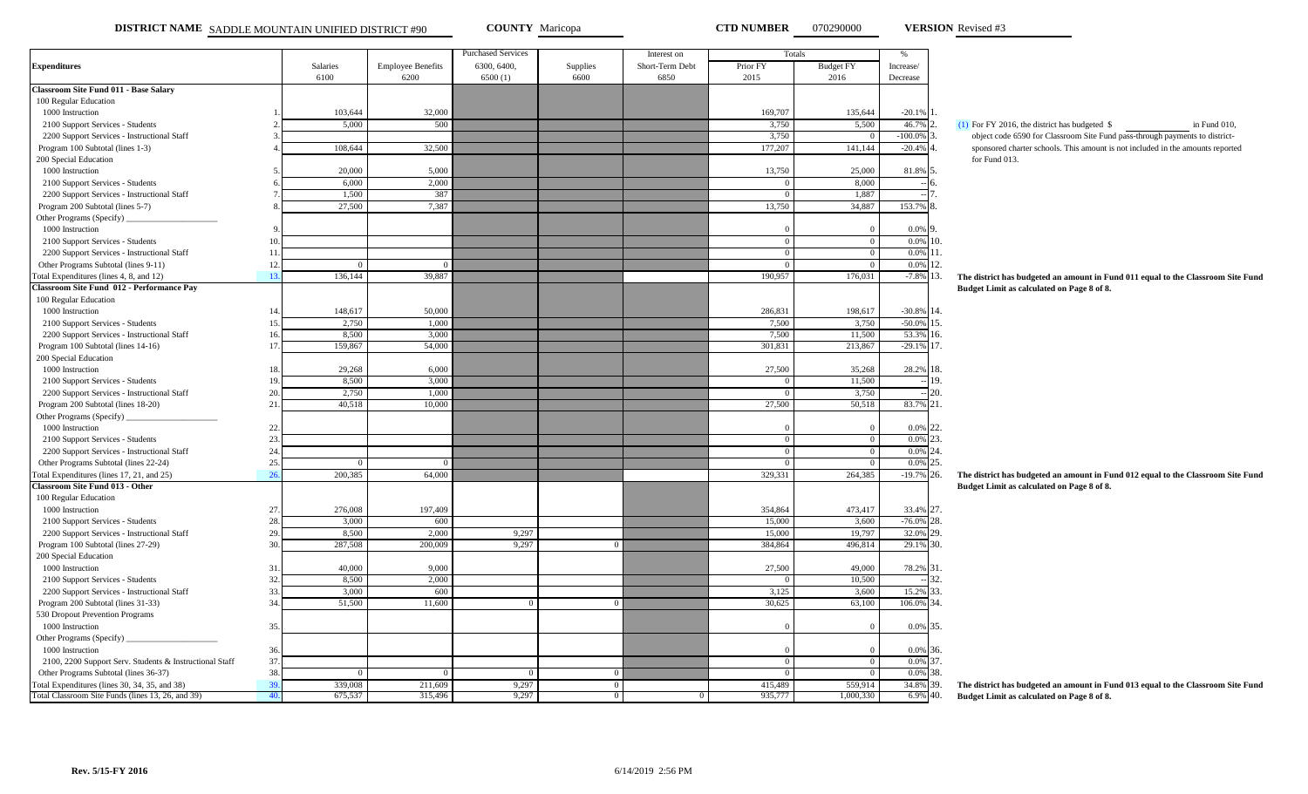**DISTRICT NAME** SADDLE MOUNTAIN UNIFIED DISTRICT #90 **COUNTY** Maricopa **CTD NUMBER** 070290000 **VERSION** Revised #3

**VERSION** Revised #3

|                                                         |                 |          |                          | <b>Purchased Services</b> |            | Interest on     |          | Totals           | $\%$          |                                                                                         |
|---------------------------------------------------------|-----------------|----------|--------------------------|---------------------------|------------|-----------------|----------|------------------|---------------|-----------------------------------------------------------------------------------------|
| <b>Expenditures</b>                                     |                 | Salaries | <b>Employee Benefits</b> | 6300, 6400,               | Supplies   | Short-Term Debt | Prior FY | <b>Budget FY</b> | Increase/     |                                                                                         |
|                                                         |                 | 6100     | 6200                     | 6500(1)                   | 6600       | 6850            | 2015     | 2016             | Decrease      |                                                                                         |
| Classroom Site Fund 011 - Base Salary                   |                 |          |                          |                           |            |                 |          |                  |               |                                                                                         |
| 100 Regular Education                                   |                 |          |                          |                           |            |                 |          |                  |               |                                                                                         |
| 1000 Instruction                                        |                 | 103,644  | 32,000                   |                           |            |                 | 169,707  | 135,644          | $-20.1%$      |                                                                                         |
| 2100 Support Services - Students                        |                 | 5,000    | 500                      |                           |            |                 | 3,750    | 5,500            | 46.7%         | $(1)$ For FY 2016, the district has budgeted \$<br>in Fund 010,                         |
| 2200 Support Services - Instructional Staff             |                 |          |                          |                           |            |                 | 3,750    |                  | $-100.0%$     | object code 6590 for Classroom Site Fund pass-through payments to district-             |
| Program 100 Subtotal (lines 1-3)                        |                 | 108,644  | 32,500                   |                           |            |                 | 177,207  | 141,144          | $-20.4%$      | sponsored charter schools. This amount is not included in the amounts reported          |
| 200 Special Education                                   |                 |          |                          |                           |            |                 |          |                  |               | for Fund 013.                                                                           |
| 1000 Instruction                                        |                 | 20,000   | 5,000                    |                           |            |                 | 13,750   | 25,000           | 81.8%         |                                                                                         |
| 2100 Support Services - Students                        |                 | 6,000    | 2,000                    |                           |            |                 |          | 8,000            |               |                                                                                         |
| 2200 Support Services - Instructional Staff             |                 | 1,500    | 387                      |                           |            |                 |          | 1,887            |               |                                                                                         |
| Program 200 Subtotal (lines 5-7)                        |                 | 27,500   | 7,387                    |                           |            |                 | 13,750   | 34,887           | 153.79        |                                                                                         |
| Other Programs (Specify)                                |                 |          |                          |                           |            |                 |          |                  |               |                                                                                         |
| 1000 Instruction                                        |                 |          |                          |                           |            |                 |          | $\Omega$         | 0.0%          |                                                                                         |
| 2100 Support Services - Students                        | $\overline{10}$ |          |                          |                           |            |                 |          | $\Omega$         | 0.0%          | 10.                                                                                     |
| 2200 Support Services - Instructional Staff             | 11              |          |                          |                           |            |                 | $\Omega$ | $\overline{0}$   | 0.0%          | ۱۱.                                                                                     |
| Other Programs Subtotal (lines 9-11)                    | 12              |          |                          |                           |            |                 |          | $\theta$         | 0.0%          | 12.                                                                                     |
| Total Expenditures (lines 4, 8, and 12)                 | 13              | 136,144  | 39,887                   |                           |            |                 | 190,957  | 176,031          | $-7.8%$       | 13.<br>The district has budgeted an amount in Fund 011 equal to the Classroom Site Fund |
| <b>Classroom Site Fund 012 - Performance Pay</b>        |                 |          |                          |                           |            |                 |          |                  |               | Budget Limit as calculated on Page 8 of 8.                                              |
| 100 Regular Education                                   |                 |          |                          |                           |            |                 |          |                  |               |                                                                                         |
| 1000 Instruction                                        | 14              | 148,617  | 50,000                   |                           |            |                 | 286,831  | 198,617          | $-30.8\%$ 14. |                                                                                         |
| 2100 Support Services - Students                        | 15              | 2,750    | 1,000                    |                           |            |                 | 7,500    | 3,750            | $-50.0%$      | 15.                                                                                     |
| 2200 Support Services - Instructional Staff             | 16              | 8,500    | 3,000                    |                           |            |                 | 7,500    | 11,500           | 53.3%         | 16.                                                                                     |
| Program 100 Subtotal (lines 14-16)                      | 17              | 159,867  | 54,000                   |                           |            |                 | 301,831  | 213,867          | $-29.1%$      | 17.                                                                                     |
| 200 Special Education                                   |                 |          |                          |                           |            |                 |          |                  |               |                                                                                         |
| 1000 Instruction                                        | 18              | 29,268   | 6,000                    |                           |            |                 | 27,500   | 35,268           | 28.2%         | 8.                                                                                      |
| 2100 Support Services - Students                        | 1 <sup>5</sup>  | 8,500    | 3,000                    |                           |            |                 |          | 11,500           |               | 19.                                                                                     |
| 2200 Support Services - Instructional Staff             | 20              | 2,750    | 1,000                    |                           |            |                 | $\Omega$ | 3,750            |               | 20.                                                                                     |
| Program 200 Subtotal (lines 18-20)                      | 21              | 40,518   | 10,000                   |                           |            |                 | 27,500   | 50,518           | 83.7%         | 21.                                                                                     |
| Other Programs (Specify)                                |                 |          |                          |                           |            |                 |          |                  |               |                                                                                         |
| 1000 Instruction                                        | 22              |          |                          |                           |            |                 |          | $\Omega$         | 0.0%          | 22.                                                                                     |
| 2100 Support Services - Students                        | 23              |          |                          |                           |            |                 |          | $\overline{0}$   | 0.0%          | 23.                                                                                     |
| 2200 Support Services - Instructional Staff             | 24              |          |                          |                           |            |                 |          | $\theta$         | 0.0%          | 24.                                                                                     |
| Other Programs Subtotal (lines 22-24)                   | 25              | $\Omega$ | $\Omega$                 |                           |            |                 | $\Omega$ | $\overline{0}$   | 0.0%          | 25.                                                                                     |
| Total Expenditures (lines 17, 21, and 25)               | 26              | 200,385  | 64,000                   |                           |            |                 | 329,331  | 264,385          | $-19.7%$      | 26.<br>The district has budgeted an amount in Fund 012 equal to the Classroom Site Fund |
| Classroom Site Fund 013 - Other                         |                 |          |                          |                           |            |                 |          |                  |               | Budget Limit as calculated on Page 8 of 8.                                              |
| 100 Regular Education                                   |                 |          |                          |                           |            |                 |          |                  |               |                                                                                         |
| 1000 Instruction                                        | 27              | 276,008  | 197,409                  |                           |            |                 | 354,864  | 473,417          | 33.4% 27.     |                                                                                         |
| 2100 Support Services - Students                        | 28              | 3,000    | 600                      |                           |            |                 | 15,000   | 3,600            | $-76.0%$      | 28.                                                                                     |
| 2200 Support Services - Instructional Staff             | 29              | 8,500    | 2.000                    | 9,297                     |            |                 | 15,000   | 19,797           | 32.0%         | 29.                                                                                     |
| Program 100 Subtotal (lines 27-29)                      | 30              | 287,508  | 200,009                  | 9,297                     |            |                 | 384,864  | 496,814          | 29.1%         | 30.                                                                                     |
| 200 Special Education                                   |                 |          |                          |                           |            |                 |          |                  |               |                                                                                         |
| 1000 Instruction                                        | 31              | 40,000   | 9,000                    |                           |            |                 | 27,500   | 49,000           | 78.2%         | 31.                                                                                     |
| 2100 Support Services - Students                        | 32              | 8,500    | 2,000                    |                           |            |                 |          | 10.500           |               | 32.                                                                                     |
| 2200 Support Services - Instructional Staff             | 33              | 3,000    | 600                      |                           |            |                 | 3,125    | 3,600            | 15.2%         | 33.                                                                                     |
| Program 200 Subtotal (lines 31-33)                      | 34              | 51,500   | 11,600                   | $\overline{0}$            | $^{\circ}$ |                 | 30,625   | 63,100           | 106.0%        | 34.                                                                                     |
| 530 Dropout Prevention Programs                         |                 |          |                          |                           |            |                 |          |                  |               |                                                                                         |
| 1000 Instruction                                        | 35              |          |                          |                           |            |                 |          | $\Omega$         | 0.0%          | 35.                                                                                     |
|                                                         |                 |          |                          |                           |            |                 |          |                  |               |                                                                                         |
| Other Programs (Specify)<br>1000 Instruction            | 36              |          |                          |                           |            |                 |          | $\Omega$         | 0.0%          | 36.                                                                                     |
| 2100, 2200 Support Serv. Students & Instructional Staff | 37              |          |                          |                           |            |                 |          | $\mathbf{0}$     | 0.0%          | 37.                                                                                     |
| Other Programs Subtotal (lines 36-37)                   | 38              | $\Omega$ | $\Omega$                 | $\Omega$                  | $^{\circ}$ |                 | $\Omega$ | $\overline{0}$   | 0.0%          | 38.                                                                                     |
| Total Expenditures (lines 30, 34, 35, and 38)           | 3 <sup>c</sup>  | 339,008  | 211,609                  | 9,297                     | $\Omega$   |                 | 415,489  | 559,914          | 34.8%         | 39.                                                                                     |
| Total Classroom Site Funds (lines 13, 26, and 39)       | 40              | 675,537  | 315,496                  | 9,297                     | $\Omega$   |                 | 935,777  | 1,000,330        | 6.9%          | The district has budgeted an amount in Fund 013 equal to the Classroom Site Fund<br>40. |
|                                                         |                 |          |                          |                           |            |                 |          |                  |               | Budget Limit as calculated on Page 8 of 8.                                              |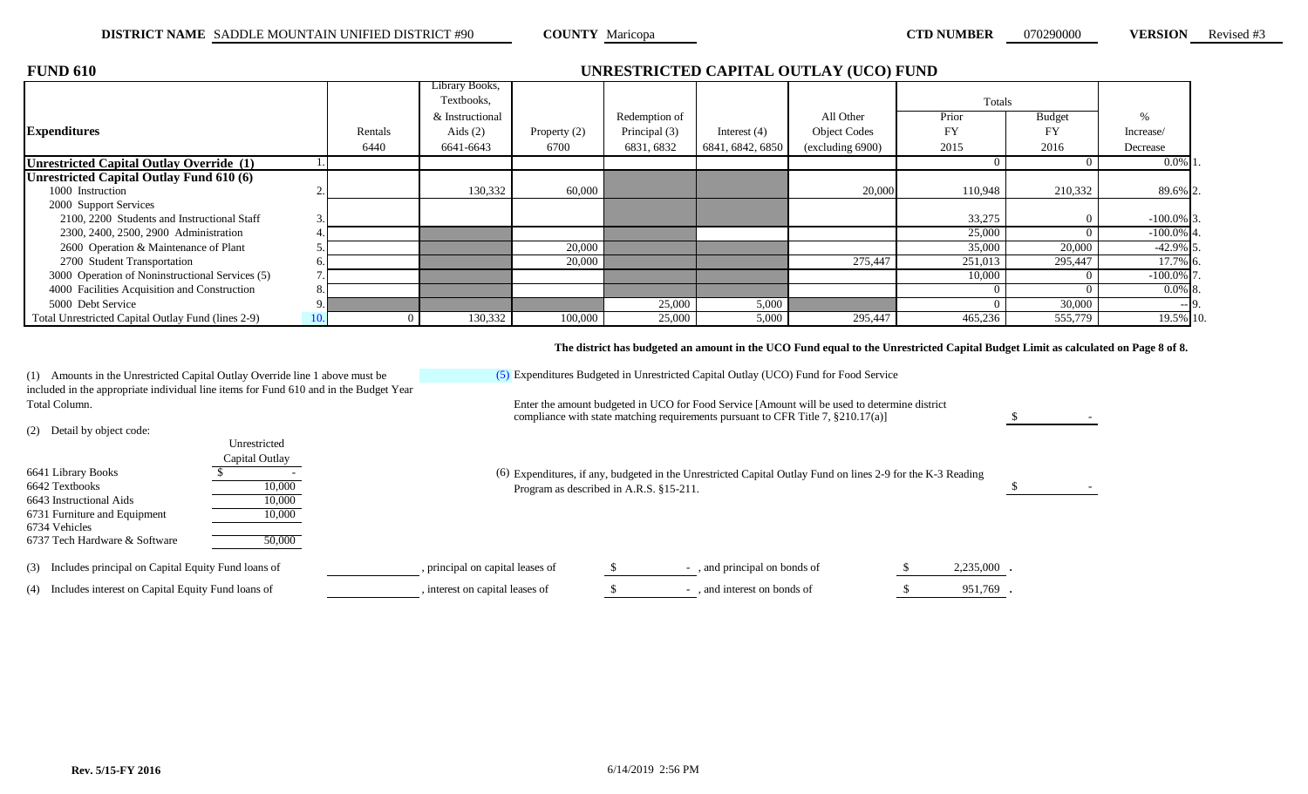| <b>FUND 610</b>                                    |     | UNRESTRICTED CAPITAL OUTLAY (UCO) FUND |                 |                |               |                  |                     |         |         |               |  |  |  |  |
|----------------------------------------------------|-----|----------------------------------------|-----------------|----------------|---------------|------------------|---------------------|---------|---------|---------------|--|--|--|--|
|                                                    |     |                                        | Library Books,  |                |               |                  |                     |         |         |               |  |  |  |  |
|                                                    |     |                                        | Textbooks,      |                |               |                  |                     | Totals  |         |               |  |  |  |  |
|                                                    |     |                                        | & Instructional |                | Redemption of |                  | All Other           | Prior   | Budget  |               |  |  |  |  |
| <b>Expenditures</b>                                |     | Rentals                                | Aids $(2)$      | Property $(2)$ | Principal (3) | Interest $(4)$   | <b>Object Codes</b> | FY      | FY      | Increase/     |  |  |  |  |
|                                                    |     | 6440                                   | 6641-6643       | 6700           | 6831, 6832    | 6841, 6842, 6850 | (excluding 6900)    | 2015    | 2016    | Decrease      |  |  |  |  |
| Unrestricted Capital Outlay Override (1)           |     |                                        |                 |                |               |                  |                     |         |         | $0.0\%$ 1     |  |  |  |  |
| Unrestricted Capital Outlay Fund 610 (6)           |     |                                        |                 |                |               |                  |                     |         |         |               |  |  |  |  |
| 1000 Instruction                                   |     |                                        | 130,332         | 60,000         |               |                  | 20,000              | 110,948 | 210,332 | 89.6% 2.      |  |  |  |  |
| 2000 Support Services                              |     |                                        |                 |                |               |                  |                     |         |         |               |  |  |  |  |
| 2100, 2200 Students and Instructional Staff        |     |                                        |                 |                |               |                  |                     | 33,275  |         | $-100.0\%$ 3. |  |  |  |  |
| 2300, 2400, 2500, 2900 Administration              |     |                                        |                 |                |               |                  |                     | 25,000  |         | $-100.0\%$ 4. |  |  |  |  |
| 2600 Operation & Maintenance of Plant              |     |                                        |                 | 20,000         |               |                  |                     | 35,000  | 20,000  | $-42.9\%$ 5.  |  |  |  |  |
| 2700 Student Transportation                        |     |                                        |                 | 20,000         |               |                  | 275,447             | 251,013 | 295,447 | 17.7% 6.      |  |  |  |  |
| 3000 Operation of Noninstructional Services (5)    |     |                                        |                 |                |               |                  |                     | 10,000  |         | $-100.0\%$ 7  |  |  |  |  |
| 4000 Facilities Acquisition and Construction       |     |                                        |                 |                |               |                  |                     |         |         | $0.0\%$ 8.    |  |  |  |  |
| 5000 Debt Service                                  |     |                                        |                 |                | 25,000        | 5,000            |                     |         | 30,000  | $-19.$        |  |  |  |  |
| Total Unrestricted Capital Outlay Fund (lines 2-9) | 10. |                                        | 130,332         | 100,000        | 25,000        | 5,000            | 295,447             | 465,236 | 555,779 | 19.5% 10.     |  |  |  |  |

### **The district has budgeted an amount in the UCO Fund equal to the Unrestricted Capital Budget Limit as calculated on Page 8 of 8.**

(1) Amounts in the Unrestricted Capital Outlay Override line 1 above must be included in the appropriate individual line items for Fund 610 and in the Budget Year

> Unrestricted Capital Outlay

 $6641$  Library Books  $\overline{\text{S}}$ 

6643 Instructional Aids 10,000 6731 Furniture and Equipment 10,000

Total Column. Enter the amount budgeted in UCO for Food Service [Amount will be used to determine district

(5) Expenditures Budgeted in Unrestricted Capital Outlay (UCO) Fund for Food Service

compliance with state matching requirements pursuant to CFR Title 7, §210.17(a)]

6642 Textbooks  $\overline{\hspace{1cm}}$  10,000  $\overline{\hspace{1cm}}$  10,000  $\overline{\hspace{1cm}}$  Program as described in A.R.S. §15-211. Expenditures, if any, budgeted in the Unrestricted Capital Outlay Fund on lines 2-9 for the K-3 Reading

 $\mathbb S$  -

| 6737 Tech Hardware & Software                          | 50.000 |                                  |                             |            |
|--------------------------------------------------------|--------|----------------------------------|-----------------------------|------------|
| (3) Includes principal on Capital Equity Fund loans of |        | , principal on capital leases of | , and principal on bonds of | 2,235,000. |
| (4) Includes interest on Capital Equity Fund loans of  |        | interest on capital leases of    | and interest on bonds of    | 951,769 .  |

(2) Detail by object code:

6734 Vehicles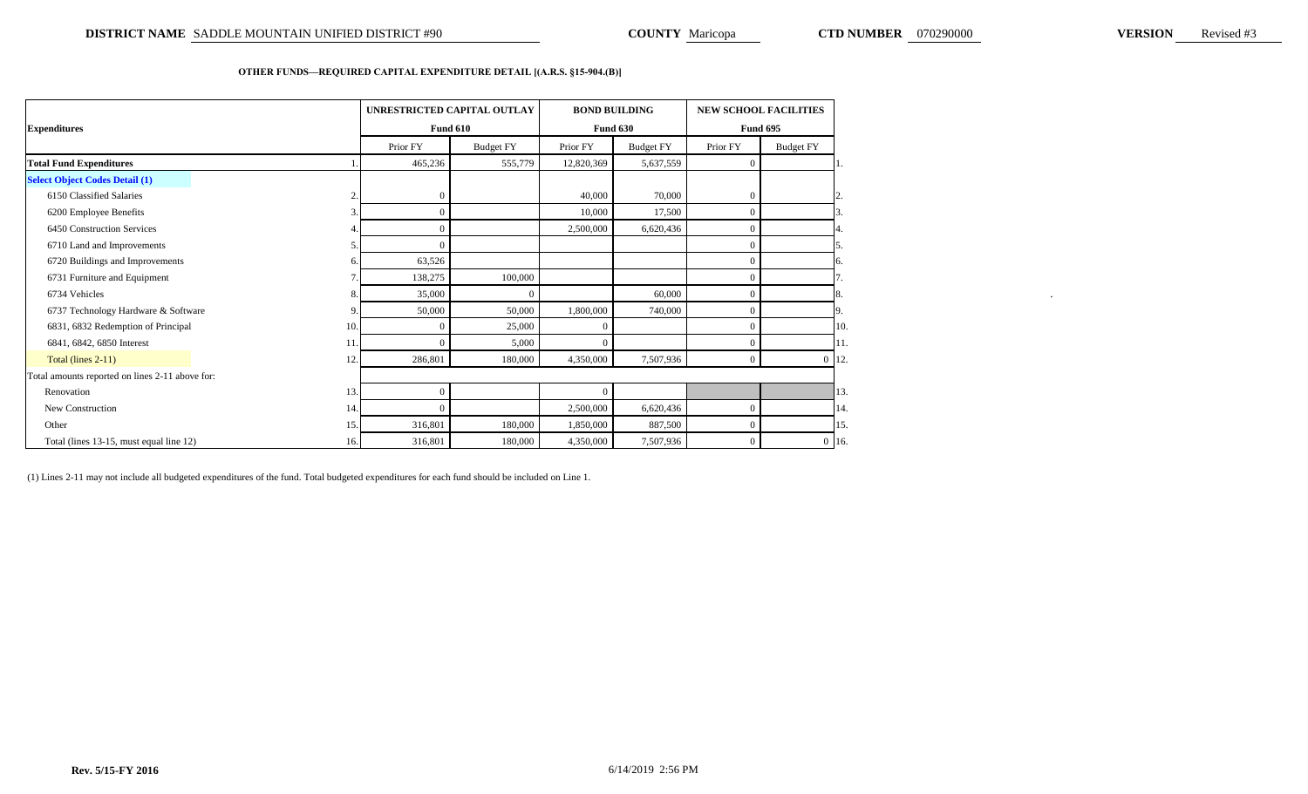### **OTHER FUNDS—REQUIRED CAPITAL EXPENDITURE DETAIL [(A.R.S. §15-904.(B)]**

|                                                 | UNRESTRICTED CAPITAL OUTLAY |                  |            | <b>BOND BUILDING</b> | <b>NEW SCHOOL FACILITIES</b> |                  |
|-------------------------------------------------|-----------------------------|------------------|------------|----------------------|------------------------------|------------------|
| <b>Expenditures</b>                             |                             | <b>Fund 610</b>  |            | <b>Fund 630</b>      |                              | <b>Fund 695</b>  |
|                                                 | Prior FY                    | <b>Budget FY</b> | Prior FY   | <b>Budget FY</b>     | Prior FY                     | <b>Budget FY</b> |
| <b>Total Fund Expenditures</b>                  | 465,236                     | 555,779          | 12,820,369 | 5,637,559            | $\Omega$                     |                  |
| <b>Select Object Codes Detail (1)</b>           |                             |                  |            |                      |                              |                  |
| 6150 Classified Salaries                        | $\Omega$                    |                  | 40,000     | 70,000               |                              |                  |
| 6200 Employee Benefits                          | $\Omega$                    |                  | 10,000     | 17,500               |                              |                  |
| 6450 Construction Services                      | $\overline{0}$              |                  | 2,500,000  | 6,620,436            |                              |                  |
| 6710 Land and Improvements                      |                             |                  |            |                      |                              |                  |
| 6720 Buildings and Improvements                 | 63,526                      |                  |            |                      |                              |                  |
| 6731 Furniture and Equipment                    | 138,275                     | 100,000          |            |                      |                              |                  |
| 6734 Vehicles                                   | 35,000                      |                  |            | 60,000               |                              |                  |
| 6737 Technology Hardware & Software             | 50,000                      | 50,000           | 1,800,000  | 740,000              |                              |                  |
| 6831, 6832 Redemption of Principal<br>10        | $\Omega$                    | 25,000           |            |                      |                              |                  |
| 6841, 6842, 6850 Interest<br>11                 | $\Omega$                    | 5,000            |            |                      |                              |                  |
| Total (lines 2-11)<br>12                        | 286,801                     | 180,000          | 4,350,000  | 7,507,936            | $\Omega$                     | $0 \; 12.$       |
| Total amounts reported on lines 2-11 above for: |                             |                  |            |                      |                              |                  |
| Renovation<br>13                                | $\overline{0}$              |                  |            |                      |                              |                  |
| New Construction<br>14                          | $\Omega$                    |                  | 2,500,000  | 6,620,436            |                              |                  |
| Other<br>15                                     | 316,801                     | 180,000          | 1,850,000  | 887,500              |                              |                  |
| Total (lines 13-15, must equal line 12)<br>16.  | 316,801                     | 180,000          | 4,350,000  | 7,507,936            |                              | $0\,16.$         |

(1) Lines 2-11 may not include all budgeted expenditures of the fund. Total budgeted expenditures for each fund should be included on Line 1.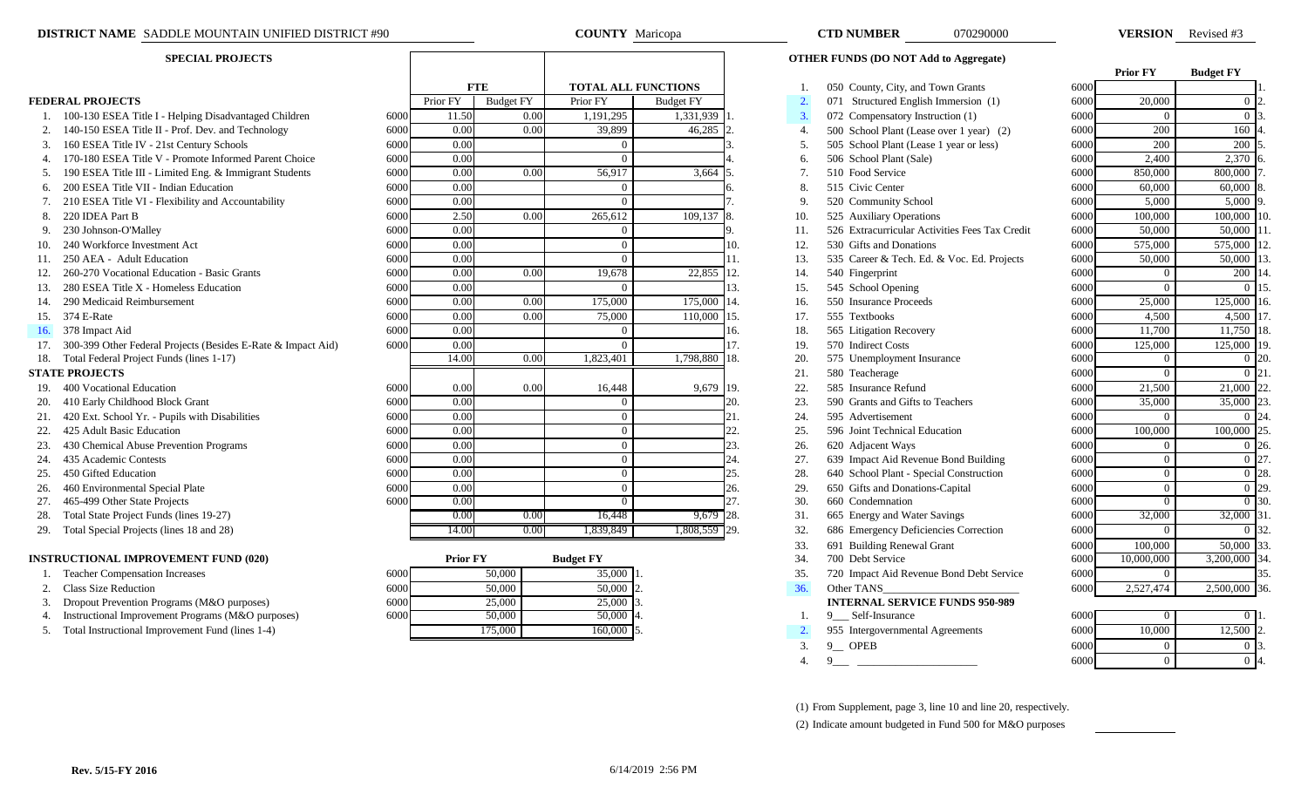|  | <b>EDERAL PROJECTS</b> |
|--|------------------------|
|--|------------------------|

- 
- 
- 
- 
- 
- 
- 
- 
- 
- 
- 
- 
- 
- 
- 
- 
- 
- 

- 
- 
- 
- 
- 
- 
- 
- 
- 
- 
- 

### **INSTRUCTIONAL IMPROVEMENT FUND (020)**

- 1. Teacher Compensation Increases
- 
- 
- 
- 

| <b>SPECIAL PROJECTS</b> |                                                              |      |                   |                  |           |                            |               |                | <b>OTHER FUNDS (DO NOT Add to Aggregate)</b>   |      |                 |                  |
|-------------------------|--------------------------------------------------------------|------|-------------------|------------------|-----------|----------------------------|---------------|----------------|------------------------------------------------|------|-----------------|------------------|
|                         |                                                              |      |                   |                  |           |                            |               |                |                                                |      | <b>Prior FY</b> | <b>Budget FY</b> |
|                         |                                                              |      |                   | <b>FTE</b>       |           | <b>TOTAL ALL FUNCTIONS</b> |               |                | 050 County, City, and Town Grants              | 6000 |                 |                  |
|                         | <b>FEDERAL PROJECTS</b>                                      |      | Prior FY          | <b>Budget FY</b> | Prior FY  | <b>Budget FY</b>           |               | $\overline{2}$ | 071 Structured English Immersion (1)           | 6000 | 20,000          | 0 <sub>12</sub>  |
|                         | 1. 100-130 ESEA Title I - Helping Disadvantaged Children     | 6000 | 11.50             | 0.00             | 1,191,295 | 1,331,939                  |               | 3.             | 072 Compensatory Instruction (1)               | 6000 |                 | 0 <sup>13</sup>  |
|                         | 140-150 ESEA Title II - Prof. Dev. and Technology            | 6000 | 0.00              | 0.00             | 39,899    | 46,285                     |               | $\overline{4}$ | 500 School Plant (Lease over 1 year) (2)       | 6000 | 200             | 160              |
| 3.                      | 160 ESEA Title IV - 21st Century Schools                     | 6000 | 0.00              |                  |           |                            |               | 5.             | 505 School Plant (Lease 1 year or less)        | 6000 | 200             | $200$ :          |
|                         | 4. 170-180 ESEA Title V - Promote Informed Parent Choice     | 6000 | 0.00              |                  |           |                            |               | 6.             | 506 School Plant (Sale)                        | 6000 | 2,400           | $2,370$ 6        |
|                         | 190 ESEA Title III - Limited Eng. & Immigrant Students       | 6000 | 0.00              | 0.00             | 56,917    | 3,664                      |               | 7 <sub>1</sub> | 510 Food Service                               | 6000 | 850,000         | 800,000          |
|                         | 200 ESEA Title VII - Indian Education                        | 6000 | 0.00              |                  |           |                            |               | 8.             | 515 Civic Center                               | 6000 | 60,000          | 60,000           |
|                         | 210 ESEA Title VI - Flexibility and Accountability           | 6000 | 0.00              |                  |           |                            |               | 9              | 520 Community School                           | 6000 | 5,000           | 5,000            |
|                         | 220 IDEA Part B                                              | 6000 | 2.50              | 0.00             | 265,612   | 109,137                    |               | 10.            | 525 Auxiliary Operations                       | 6000 | 100,000         | 100,000          |
|                         | 230 Johnson-O'Malley                                         | 6000 | 0.00              |                  |           |                            |               | 11.            | 526 Extracurricular Activities Fees Tax Credit | 6000 | 50,000          | 50,000           |
|                         | 240 Workforce Investment Act                                 | 6000 | 0.00              |                  |           |                            |               | 12.            | 530 Gifts and Donations                        | 6000 | 575,000         | 575,000          |
|                         | 250 AEA - Adult Education                                    | 6000 | 0.00              |                  |           |                            |               | 13.            | 535 Career & Tech. Ed. & Voc. Ed. Projects     | 6000 | 50,000          | 50,000           |
|                         | 260-270 Vocational Education - Basic Grants                  | 6000 | 0.00              | 0.00             | 19,678    | 22,855                     | <sup>12</sup> | 14.            | 540 Fingerprint                                | 6000 |                 | 200              |
| 13.                     | 280 ESEA Title X - Homeless Education                        | 6000 | 0.00              |                  |           |                            | 13.           | 15.            | 545 School Opening                             | 6000 |                 |                  |
|                         | 290 Medicaid Reimbursement                                   | 6000 | 0.00              | 0.00             | 175,000   | 175,000                    | 14.           | 16.            | 550 Insurance Proceeds                         | 6000 | 25,000          | 125,000          |
| 15.                     | 374 E-Rate                                                   | 6000 | 0.00              | 0.00             | 75,000    | 110,000                    | 115.          | 17.            | 555 Textbooks                                  | 6000 | 4,500           | 4,500            |
| 16.                     | 378 Impact Aid                                               | 6000 | 0.00              |                  |           |                            | 16.           | 18.            | 565 Litigation Recovery                        | 6000 | 11,700          | 11,750           |
|                         | 300-399 Other Federal Projects (Besides E-Rate & Impact Aid) | 6000 | 0.00              |                  |           |                            |               | 19.            | 570 Indirect Costs                             | 6000 | 125,000         | 125,000          |
|                         | 18. Total Federal Project Funds (lines 1-17)                 |      | 14.00             | 0.00             | 1,823,401 | 1,798,880                  | <b>18.</b>    | 20.            | 575 Unemployment Insurance                     | 6000 |                 |                  |
|                         | <b>STATE PROJECTS</b>                                        |      |                   |                  |           |                            |               | 21.            | 580 Teacherage                                 | 6000 |                 |                  |
|                         | 400 Vocational Education                                     | 6000 | 0.00              | 0.00             | 16,448    | 9,679 19.                  |               | 22.            | 585 Insurance Refund                           | 6000 | 21,500          | 21,000 2         |
|                         | 20. 410 Early Childhood Block Grant                          | 6000 | $\overline{0.00}$ |                  |           |                            |               | 23.            | 590 Grants and Gifts to Teachers               | 6000 | 35,000          | 35,000           |
| 21.                     | 420 Ext. School Yr. - Pupils with Disabilities               | 6000 | 0.00              |                  | $\Omega$  |                            | 21.           | 24.            | 595 Advertisement                              | 6000 | $\Omega$        |                  |
| 22.                     | 425 Adult Basic Education                                    | 6000 | 0.00              |                  |           |                            | 22.           | 25.            | 596 Joint Technical Education                  | 6000 | 100,000         | 100,000          |
| 23.                     | 430 Chemical Abuse Prevention Programs                       | 6000 | 0.00              |                  |           |                            | 23.           | 26.            | 620 Adjacent Ways                              | 6000 |                 | 0.126            |
| 24.                     | 435 Academic Contests                                        | 6000 | 0.00              |                  |           |                            | 24.           | 27.            | 639 Impact Aid Revenue Bond Building           | 6000 |                 |                  |
|                         | 450 Gifted Education                                         | 6000 | 0.00              |                  |           |                            | 25.           | 28.            | 640 School Plant - Special Construction        | 6000 |                 | $0 \, 28$        |
| 26.                     | 460 Environmental Special Plate                              | 6000 | 0.00              |                  | $\Omega$  |                            | 26.           | 29.            | 650 Gifts and Donations-Capital                | 6000 | $\Omega$        | 0 <sup>29</sup>  |
| 27.                     | 465-499 Other State Projects                                 | 6000 | 0.00              |                  |           |                            | 27.           | 30.            | 660 Condemnation                               | 6000 |                 | 0.130            |
|                         | Total State Project Funds (lines 19-27)                      |      | 0.00              | 0.00             | 16,448    | $9,679$ 28.                |               | 31.            | 665 Energy and Water Savings                   | 6000 | 32,000          | 32,000 31        |
| 29.                     | Total Special Projects (lines 18 and 28)                     |      | 14.00             | 0.00             | 1.839.849 | 1,808,559 29.              |               | 32.            | 686 Emergency Deficiencies Correction          | 6000 | $\theta$        | 0 32             |

| <b>ISTRUCTIONAL IMPROVEMENT FUND (020)</b>        |      | <b>Prior FY</b> | <b>Budget FY</b> |     | 700 Debt Service                         | 6000  | 10,000,000 | 3,200,000 34. |  |
|---------------------------------------------------|------|-----------------|------------------|-----|------------------------------------------|-------|------------|---------------|--|
| <b>Teacher Compensation Increases</b>             | 6000 | 50,000          | $35,000$ 1.      | 35. | 720 Impact Aid Revenue Bond Debt Service | 6000  |            |               |  |
| 2. Class Size Reduction                           | 6000 | 50,000          | 50,000 2.        | 36. | Other TANS                               |       | 2.527.474  | 2,500,000 36. |  |
| Dropout Prevention Programs (M&O purposes)        | 6000 | 25,000          | 25,000 3.        |     | <b>INTERNAL SERVICE FUNDS 950-989</b>    |       |            |               |  |
| Instructional Improvement Programs (M&O purposes) | 6000 | 50,000          | 50,000 4         |     | Self-Insurance                           | 60001 |            | ) II.         |  |
| Total Instructional Improvement Fund (lines 1-4)  |      | 75.000          | $160,000$ 5.     |     | 955 Intergovernmental Agreements         | 6000  | 10.000     | 12,500 2.     |  |
|                                                   |      |                 |                  |     | _______                                  | ----  |            |               |  |

| <b>COUNTY</b> Maricopa     |                  |     |          | <b>CTD NUMBER</b>                                                         | 070290000                                      |      | <b>VERSION</b>   | Revised #3       |               |
|----------------------------|------------------|-----|----------|---------------------------------------------------------------------------|------------------------------------------------|------|------------------|------------------|---------------|
|                            |                  |     |          | <b>OTHER FUNDS (DO NOT Add to Aggregate)</b>                              |                                                |      |                  |                  |               |
| <b>TOTAL ALL FUNCTIONS</b> |                  |     |          |                                                                           |                                                | 6000 | <b>Prior FY</b>  | <b>Budget FY</b> |               |
| Prior FY                   | <b>Budget FY</b> |     | 1.<br>2. | 050 County, City, and Town Grants<br>071 Structured English Immersion (1) |                                                | 6000 | 20,000           | $0\vert 2$       |               |
| 1,191,295                  | 1,331,939        | 1.  | 3.       | 072 Compensatory Instruction (1)                                          |                                                | 6000 | $\Omega$         | $\Omega$         |               |
| 39,899                     | 46,285           | 2.  | 4.       | 500 School Plant (Lease over 1 year) (2)                                  |                                                | 6000 | 200              | 160              |               |
| $\Omega$                   |                  | 3.  | 5.       | 505 School Plant (Lease 1 year or less)                                   |                                                | 6000 | 200              | 200              |               |
| $\Omega$                   |                  |     | 6.       | 506 School Plant (Sale)                                                   |                                                | 6000 | 2,400            | 2,370            | 16            |
| 56,917                     | 3,664            | I5. | 7.       | 510 Food Service                                                          |                                                | 6000 | 850,000          | 800,000          |               |
| $\theta$                   |                  | 6.  | 8.       | 515 Civic Center                                                          |                                                | 6000 | 60,000           | 60,000           | 8             |
| $\Omega$                   |                  | 7.  | 9.       | 520 Community School                                                      |                                                | 6000 | 5,000            | 5,000            | 19            |
| 265,612                    | 109,137          | 8.  | 10.      | 525 Auxiliary Operations                                                  |                                                | 6000 | 100,000          | 100,000          | $\mathbf{11}$ |
| $\Omega$                   |                  | 9.  | 11.      |                                                                           | 526 Extracurricular Activities Fees Tax Credit | 6000 | 50,000           | 50,000 1         |               |
| $\Omega$                   |                  | 10. | 12.      | 530 Gifts and Donations                                                   |                                                | 6000 | 575,000          | 575,000 12       |               |
| $\Omega$                   |                  | 11. | 13.      |                                                                           | 535 Career & Tech. Ed. & Voc. Ed. Projects     | 6000 | 50,000           | 50,000           | $\mathbf{1}$  |
| 19,678                     | 22,855           | 12. | 14.      | 540 Fingerprint                                                           |                                                | 6000 | $\mathbf{0}$     | 200              |               |
| $\Omega$                   |                  | 13. | 15.      | 545 School Opening                                                        |                                                | 6000 | $\Omega$         | $\Omega$         |               |
| 175,000                    | 175,000          | 14. | 16.      | 550 Insurance Proceeds                                                    |                                                | 6000 | 25,000           | 125,000 1        |               |
| 75,000                     | 110,000          | 15. | 17.      | 555 Textbooks                                                             |                                                | 6000 | 4,500            | 4,500 1          |               |
| $\Omega$                   |                  | 16. | 18.      | 565 Litigation Recovery                                                   |                                                | 6000 | 11,700           | 11,750 18        |               |
| $\Omega$                   |                  | 17. | 19.      | 570 Indirect Costs                                                        |                                                | 6000 | 125,000          | 125,000          | $\vert$ 19    |
| 1,823,401                  | 1,798,880        | 18. | 20.      | 575 Unemployment Insurance                                                |                                                | 6000 | $\Omega$         | $\Omega$         | 120           |
|                            |                  |     | 21.      | 580 Teacherage                                                            |                                                | 6000 | $\Omega$         | 0 <sub>12</sub>  |               |
| 16,448                     | 9,679 19.        |     | 22.      | 585 Insurance Refund                                                      |                                                | 6000 | 21,500           | 21,000           | $ 2\rangle$   |
| $\Omega$                   |                  | 20. | 23.      | 590 Grants and Gifts to Teachers                                          |                                                | 6000 | 35,000           | 35,000           | $ 2\rangle$   |
| $\Omega$                   |                  | 21. | 24.      | 595 Advertisement                                                         |                                                | 6000 | $\Omega$         | $\Omega$         | $2\epsilon$   |
| $\theta$                   |                  | 22. | 25.      | 596 Joint Technical Education                                             |                                                | 6000 | 100,000          | 100,000 2:       |               |
| $\mathbf{0}$               |                  | 23. | 26.      | 620 Adjacent Ways                                                         |                                                | 6000 | $\mathbf{0}$     | $\overline{0}$   | $\vert$ 20    |
| $\Omega$                   |                  | 24. | 27.      | 639 Impact Aid Revenue Bond Building                                      |                                                | 6000 | $\boldsymbol{0}$ | $\overline{0}$   | $2^{\prime}$  |
| $\Omega$                   |                  | 25  | 28       | 640 School Plant - Special Construction                                   |                                                | 6000 | $\Omega$         | 0 <sub>2</sub>   |               |

- 
- 
- 
- 
- 33. 691 Building Renewal Grant 600
- 34. 700 Debt Service 600
- 35. 720 Impact Aid Revenue Bond Debt Service 600

- 
- 
- 
- 3. 9 OPEB 600
	-

(1) From Supplement, page 3, line 10 and line 20, respectively. (2) Indicate amount budgeted in Fund 500 for M&O purposes

| 8. | 565 Litigation Recovery                  | 60001 | 11,700         | $11,750$ 18.     |                |
|----|------------------------------------------|-------|----------------|------------------|----------------|
| 9. | 570 Indirect Costs                       | 6000  | 125,000        | 125,000          | 19.            |
| 0. | 575 Unemployment Insurance               | 6000  | $\Omega$       | $\Omega$         | 20.            |
| 1. | 580 Teacherage                           | 6000  | $\Omega$       | $\Omega$         | 21.            |
| 2. | 585 Insurance Refund                     | 6000  | 21,500         | 21,000           | 22.            |
| 3. | 590 Grants and Gifts to Teachers         | 6000  | 35,000         | 35,000           | 23.            |
| 4. | 595 Advertisement                        | 6000  | $\Omega$       | $\Omega$         | 24.            |
| 5. | 596 Joint Technical Education            | 6000  | 100,000        | 100,000          | 25.            |
| 6. | 620 Adjacent Ways                        | 6000  | $\mathbf{0}$   | $\mathbf{0}$     | 26.            |
| 7. | 639 Impact Aid Revenue Bond Building     | 6000  | $\Omega$       | $\Omega$         | 27.            |
| 8. | 640 School Plant - Special Construction  | 6000  | $\Omega$       | $\Omega$         | 28.            |
| 9. | 650 Gifts and Donations-Capital          | 6000  | $\overline{0}$ | $\Omega$         | 29.            |
| 0. | 660 Condemnation                         | 6000  | $\Omega$       | $\Omega$         | 30.            |
| 1. | 665 Energy and Water Savings             | 6000  | 32,000         | 32,000           | 31.            |
| 2. | 686 Emergency Deficiencies Correction    | 6000  | 0              | $\Omega$         | 32.            |
| 3. | 691 Building Renewal Grant               | 6000  | 100,000        | 50,000           | 33.            |
| 4. | 700 Debt Service                         | 6000  | 10,000,000     | 3,200,000        | 34.            |
| 5. | 720 Impact Aid Revenue Bond Debt Service | 6000  | $\mathbf{0}$   |                  | 35.            |
| 6. | Other TANS                               | 6000  | 2,527,474      | 2,500,000        | 36.            |
|    | <b>INTERNAL SERVICE FUNDS 950-989</b>    |       |                |                  |                |
| 1. | 9 Self-Insurance                         | 6000  | $\Omega$       | 0                | $\mathbf{1}$ . |
| 2. | 955 Intergovernmental Agreements         | 6000  | 10,000         | 12,500           | 2.             |
| 3. | 9 OPEB                                   | 6000  | $\Omega$       | $\Omega$         | 3.             |
| 4. | 9                                        | 6000  | $\mathbf{0}$   | $\boldsymbol{0}$ | 4.             |
|    |                                          |       |                |                  |                |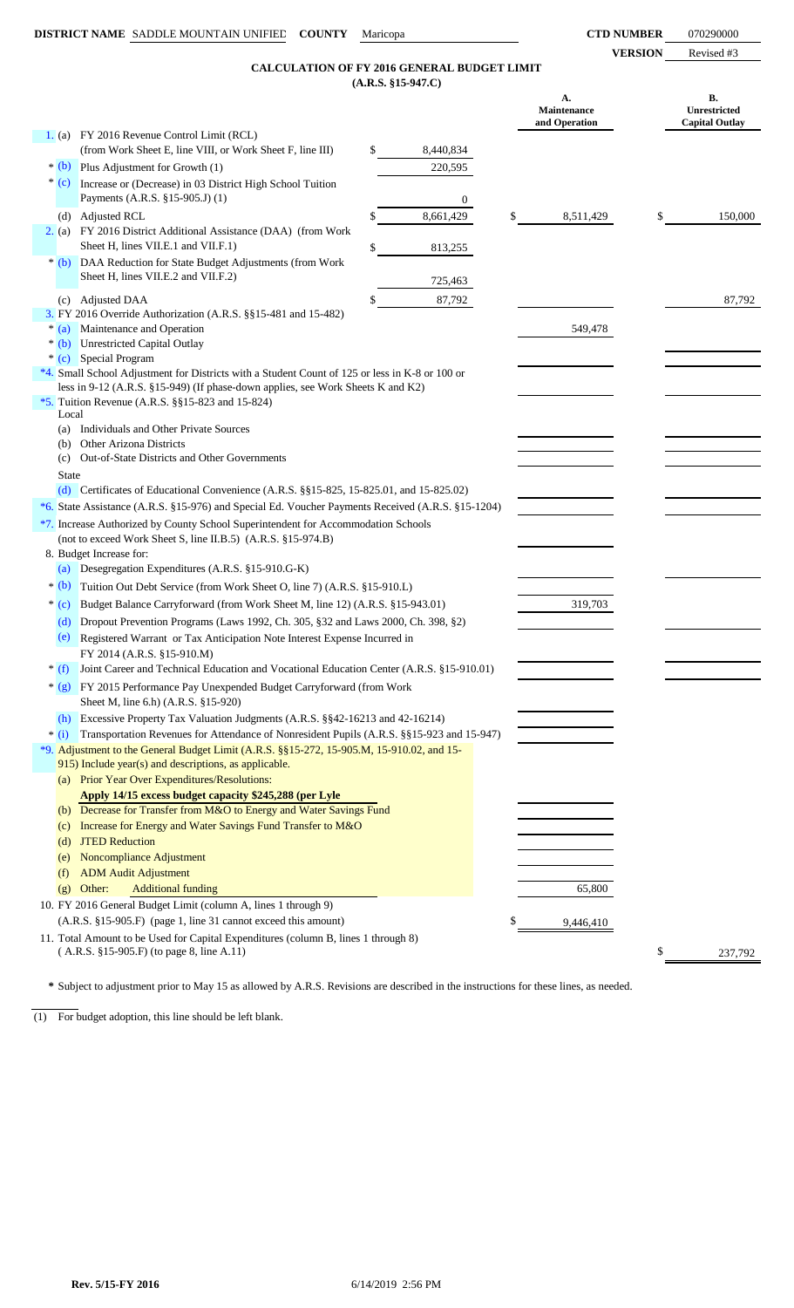**VERSION** Revised #3

### **(A.R.S. §15-947.C) CALCULATION OF FY 2016 GENERAL BUDGET LIMIT**

| 1. (a) FY 2016 Revenue Control Limit (RCL)<br>(from Work Sheet E, line VIII, or Work Sheet F, line III)<br>8,440,834<br>S<br>$*(b)$ Plus Adjustment for Growth (1)<br>220,595<br>$*(c)$<br>Increase or (Decrease) in 03 District High School Tuition<br>Payments (A.R.S. §15-905.J) (1)<br>$\boldsymbol{0}$<br><b>Adjusted RCL</b><br>\$<br>8,661,429<br>8,511,429<br>\$<br>(d)<br>2. (a) FY 2016 District Additional Assistance (DAA) (from Work<br>Sheet H, lines VII.E.1 and VII.F.1)<br>813,255<br>\$<br>* (b) DAA Reduction for State Budget Adjustments (from Work<br>Sheet H, lines VII.E.2 and VII.F.2)<br>725,463<br>87,792<br><b>Adjusted DAA</b><br>(c)<br>3. FY 2016 Override Authorization (A.R.S. §§15-481 and 15-482)<br>* (a) Maintenance and Operation<br>549,478<br>* (b) Unrestricted Capital Outlay<br>* (c) Special Program<br>*4. Small School Adjustment for Districts with a Student Count of 125 or less in K-8 or 100 or<br>less in 9-12 (A.R.S. §15-949) (If phase-down applies, see Work Sheets K and K2)<br>*5. Tuition Revenue (A.R.S. $\S$ §15-823 and 15-824)<br>Local<br>Individuals and Other Private Sources<br>(a)<br>Other Arizona Districts<br>(b)<br>Out-of-State Districts and Other Governments<br>(c)<br><b>State</b><br>(d) Certificates of Educational Convenience (A.R.S. $\S$ 15-825, 15-825.01, and 15-825.02)<br>*6. State Assistance (A.R.S. §15-976) and Special Ed. Voucher Payments Received (A.R.S. §15-1204)<br>*7. Increase Authorized by County School Superintendent for Accommodation Schools<br>(not to exceed Work Sheet S, line II.B.5) (A.R.S. §15-974.B)<br>8. Budget Increase for:<br>Desegregation Expenditures (A.R.S. §15-910.G-K)<br>(a)<br>$*$ (b)<br>Tuition Out Debt Service (from Work Sheet O, line 7) (A.R.S. §15-910.L)<br>319,703<br>$*(c)$<br>Budget Balance Carryforward (from Work Sheet M, line 12) (A.R.S. §15-943.01)<br>Dropout Prevention Programs (Laws 1992, Ch. 305, §32 and Laws 2000, Ch. 398, §2)<br>(d)<br>(e)<br>Registered Warrant or Tax Anticipation Note Interest Expense Incurred in<br>FY 2014 (A.R.S. §15-910.M)<br>* (f) Joint Career and Technical Education and Vocational Education Center (A.R.S. §15-910.01)<br>* (g) FY 2015 Performance Pay Unexpended Budget Carryforward (from Work<br>Sheet M, line 6.h) (A.R.S. §15-920)<br>Excessive Property Tax Valuation Judgments (A.R.S. §§42-16213 and 42-16214)<br>(h)<br>Transportation Revenues for Attendance of Nonresident Pupils (A.R.S. §§15-923 and 15-947)<br>$*$ (i)<br>*9. Adjustment to the General Budget Limit (A.R.S. §§15-272, 15-905.M, 15-910.02, and 15-<br>915) Include year(s) and descriptions, as applicable.<br>(a) Prior Year Over Expenditures/Resolutions:<br>Apply 14/15 excess budget capacity \$245,288 (per Lyle<br>(b) Decrease for Transfer from M&O to Energy and Water Savings Fund<br>Increase for Energy and Water Savings Fund Transfer to M&O<br>(c)<br><b>JTED Reduction</b><br>(d)<br>Noncompliance Adjustment<br>(e)<br><b>ADM Audit Adjustment</b><br>(f)<br>Other:<br><b>Additional funding</b><br>65,800<br>(g)<br>10. FY 2016 General Budget Limit (column A, lines 1 through 9)<br>(A.R.S. §15-905.F) (page 1, line 31 cannot exceed this amount)<br>\$<br>9,446,410<br>11. Total Amount to be Used for Capital Expenditures (column B, lines 1 through 8)<br>(A.R.S. §15-905.F) (to page 8, line A.11)<br>\$<br>237,792 |  |  | (AMM) 810-77760) | А.<br>Maintenance<br>and Operation | В.<br>Unrestricted<br><b>Capital Outlay</b> |
|--------------------------------------------------------------------------------------------------------------------------------------------------------------------------------------------------------------------------------------------------------------------------------------------------------------------------------------------------------------------------------------------------------------------------------------------------------------------------------------------------------------------------------------------------------------------------------------------------------------------------------------------------------------------------------------------------------------------------------------------------------------------------------------------------------------------------------------------------------------------------------------------------------------------------------------------------------------------------------------------------------------------------------------------------------------------------------------------------------------------------------------------------------------------------------------------------------------------------------------------------------------------------------------------------------------------------------------------------------------------------------------------------------------------------------------------------------------------------------------------------------------------------------------------------------------------------------------------------------------------------------------------------------------------------------------------------------------------------------------------------------------------------------------------------------------------------------------------------------------------------------------------------------------------------------------------------------------------------------------------------------------------------------------------------------------------------------------------------------------------------------------------------------------------------------------------------------------------------------------------------------------------------------------------------------------------------------------------------------------------------------------------------------------------------------------------------------------------------------------------------------------------------------------------------------------------------------------------------------------------------------------------------------------------------------------------------------------------------------------------------------------------------------------------------------------------------------------------------------------------------------------------------------------------------------------------------------------------------------------------------------------------------------------------------------------------------------------------------------------------------------------------------------------------------------------------------------------------------------------------------------------------------------------------------------------------------------------------------------------------------------------------------------------------------------|--|--|------------------|------------------------------------|---------------------------------------------|
|                                                                                                                                                                                                                                                                                                                                                                                                                                                                                                                                                                                                                                                                                                                                                                                                                                                                                                                                                                                                                                                                                                                                                                                                                                                                                                                                                                                                                                                                                                                                                                                                                                                                                                                                                                                                                                                                                                                                                                                                                                                                                                                                                                                                                                                                                                                                                                                                                                                                                                                                                                                                                                                                                                                                                                                                                                                                                                                                                                                                                                                                                                                                                                                                                                                                                                                                                                                                                                |  |  |                  |                                    |                                             |
|                                                                                                                                                                                                                                                                                                                                                                                                                                                                                                                                                                                                                                                                                                                                                                                                                                                                                                                                                                                                                                                                                                                                                                                                                                                                                                                                                                                                                                                                                                                                                                                                                                                                                                                                                                                                                                                                                                                                                                                                                                                                                                                                                                                                                                                                                                                                                                                                                                                                                                                                                                                                                                                                                                                                                                                                                                                                                                                                                                                                                                                                                                                                                                                                                                                                                                                                                                                                                                |  |  |                  |                                    |                                             |
|                                                                                                                                                                                                                                                                                                                                                                                                                                                                                                                                                                                                                                                                                                                                                                                                                                                                                                                                                                                                                                                                                                                                                                                                                                                                                                                                                                                                                                                                                                                                                                                                                                                                                                                                                                                                                                                                                                                                                                                                                                                                                                                                                                                                                                                                                                                                                                                                                                                                                                                                                                                                                                                                                                                                                                                                                                                                                                                                                                                                                                                                                                                                                                                                                                                                                                                                                                                                                                |  |  |                  |                                    |                                             |
|                                                                                                                                                                                                                                                                                                                                                                                                                                                                                                                                                                                                                                                                                                                                                                                                                                                                                                                                                                                                                                                                                                                                                                                                                                                                                                                                                                                                                                                                                                                                                                                                                                                                                                                                                                                                                                                                                                                                                                                                                                                                                                                                                                                                                                                                                                                                                                                                                                                                                                                                                                                                                                                                                                                                                                                                                                                                                                                                                                                                                                                                                                                                                                                                                                                                                                                                                                                                                                |  |  |                  |                                    |                                             |
|                                                                                                                                                                                                                                                                                                                                                                                                                                                                                                                                                                                                                                                                                                                                                                                                                                                                                                                                                                                                                                                                                                                                                                                                                                                                                                                                                                                                                                                                                                                                                                                                                                                                                                                                                                                                                                                                                                                                                                                                                                                                                                                                                                                                                                                                                                                                                                                                                                                                                                                                                                                                                                                                                                                                                                                                                                                                                                                                                                                                                                                                                                                                                                                                                                                                                                                                                                                                                                |  |  |                  |                                    | 150,000                                     |
|                                                                                                                                                                                                                                                                                                                                                                                                                                                                                                                                                                                                                                                                                                                                                                                                                                                                                                                                                                                                                                                                                                                                                                                                                                                                                                                                                                                                                                                                                                                                                                                                                                                                                                                                                                                                                                                                                                                                                                                                                                                                                                                                                                                                                                                                                                                                                                                                                                                                                                                                                                                                                                                                                                                                                                                                                                                                                                                                                                                                                                                                                                                                                                                                                                                                                                                                                                                                                                |  |  |                  |                                    |                                             |
|                                                                                                                                                                                                                                                                                                                                                                                                                                                                                                                                                                                                                                                                                                                                                                                                                                                                                                                                                                                                                                                                                                                                                                                                                                                                                                                                                                                                                                                                                                                                                                                                                                                                                                                                                                                                                                                                                                                                                                                                                                                                                                                                                                                                                                                                                                                                                                                                                                                                                                                                                                                                                                                                                                                                                                                                                                                                                                                                                                                                                                                                                                                                                                                                                                                                                                                                                                                                                                |  |  |                  |                                    |                                             |
|                                                                                                                                                                                                                                                                                                                                                                                                                                                                                                                                                                                                                                                                                                                                                                                                                                                                                                                                                                                                                                                                                                                                                                                                                                                                                                                                                                                                                                                                                                                                                                                                                                                                                                                                                                                                                                                                                                                                                                                                                                                                                                                                                                                                                                                                                                                                                                                                                                                                                                                                                                                                                                                                                                                                                                                                                                                                                                                                                                                                                                                                                                                                                                                                                                                                                                                                                                                                                                |  |  |                  |                                    |                                             |
|                                                                                                                                                                                                                                                                                                                                                                                                                                                                                                                                                                                                                                                                                                                                                                                                                                                                                                                                                                                                                                                                                                                                                                                                                                                                                                                                                                                                                                                                                                                                                                                                                                                                                                                                                                                                                                                                                                                                                                                                                                                                                                                                                                                                                                                                                                                                                                                                                                                                                                                                                                                                                                                                                                                                                                                                                                                                                                                                                                                                                                                                                                                                                                                                                                                                                                                                                                                                                                |  |  |                  |                                    | 87,792                                      |
|                                                                                                                                                                                                                                                                                                                                                                                                                                                                                                                                                                                                                                                                                                                                                                                                                                                                                                                                                                                                                                                                                                                                                                                                                                                                                                                                                                                                                                                                                                                                                                                                                                                                                                                                                                                                                                                                                                                                                                                                                                                                                                                                                                                                                                                                                                                                                                                                                                                                                                                                                                                                                                                                                                                                                                                                                                                                                                                                                                                                                                                                                                                                                                                                                                                                                                                                                                                                                                |  |  |                  |                                    |                                             |
|                                                                                                                                                                                                                                                                                                                                                                                                                                                                                                                                                                                                                                                                                                                                                                                                                                                                                                                                                                                                                                                                                                                                                                                                                                                                                                                                                                                                                                                                                                                                                                                                                                                                                                                                                                                                                                                                                                                                                                                                                                                                                                                                                                                                                                                                                                                                                                                                                                                                                                                                                                                                                                                                                                                                                                                                                                                                                                                                                                                                                                                                                                                                                                                                                                                                                                                                                                                                                                |  |  |                  |                                    |                                             |
|                                                                                                                                                                                                                                                                                                                                                                                                                                                                                                                                                                                                                                                                                                                                                                                                                                                                                                                                                                                                                                                                                                                                                                                                                                                                                                                                                                                                                                                                                                                                                                                                                                                                                                                                                                                                                                                                                                                                                                                                                                                                                                                                                                                                                                                                                                                                                                                                                                                                                                                                                                                                                                                                                                                                                                                                                                                                                                                                                                                                                                                                                                                                                                                                                                                                                                                                                                                                                                |  |  |                  |                                    |                                             |
|                                                                                                                                                                                                                                                                                                                                                                                                                                                                                                                                                                                                                                                                                                                                                                                                                                                                                                                                                                                                                                                                                                                                                                                                                                                                                                                                                                                                                                                                                                                                                                                                                                                                                                                                                                                                                                                                                                                                                                                                                                                                                                                                                                                                                                                                                                                                                                                                                                                                                                                                                                                                                                                                                                                                                                                                                                                                                                                                                                                                                                                                                                                                                                                                                                                                                                                                                                                                                                |  |  |                  |                                    |                                             |
|                                                                                                                                                                                                                                                                                                                                                                                                                                                                                                                                                                                                                                                                                                                                                                                                                                                                                                                                                                                                                                                                                                                                                                                                                                                                                                                                                                                                                                                                                                                                                                                                                                                                                                                                                                                                                                                                                                                                                                                                                                                                                                                                                                                                                                                                                                                                                                                                                                                                                                                                                                                                                                                                                                                                                                                                                                                                                                                                                                                                                                                                                                                                                                                                                                                                                                                                                                                                                                |  |  |                  |                                    |                                             |
|                                                                                                                                                                                                                                                                                                                                                                                                                                                                                                                                                                                                                                                                                                                                                                                                                                                                                                                                                                                                                                                                                                                                                                                                                                                                                                                                                                                                                                                                                                                                                                                                                                                                                                                                                                                                                                                                                                                                                                                                                                                                                                                                                                                                                                                                                                                                                                                                                                                                                                                                                                                                                                                                                                                                                                                                                                                                                                                                                                                                                                                                                                                                                                                                                                                                                                                                                                                                                                |  |  |                  |                                    |                                             |
|                                                                                                                                                                                                                                                                                                                                                                                                                                                                                                                                                                                                                                                                                                                                                                                                                                                                                                                                                                                                                                                                                                                                                                                                                                                                                                                                                                                                                                                                                                                                                                                                                                                                                                                                                                                                                                                                                                                                                                                                                                                                                                                                                                                                                                                                                                                                                                                                                                                                                                                                                                                                                                                                                                                                                                                                                                                                                                                                                                                                                                                                                                                                                                                                                                                                                                                                                                                                                                |  |  |                  |                                    |                                             |
|                                                                                                                                                                                                                                                                                                                                                                                                                                                                                                                                                                                                                                                                                                                                                                                                                                                                                                                                                                                                                                                                                                                                                                                                                                                                                                                                                                                                                                                                                                                                                                                                                                                                                                                                                                                                                                                                                                                                                                                                                                                                                                                                                                                                                                                                                                                                                                                                                                                                                                                                                                                                                                                                                                                                                                                                                                                                                                                                                                                                                                                                                                                                                                                                                                                                                                                                                                                                                                |  |  |                  |                                    |                                             |
|                                                                                                                                                                                                                                                                                                                                                                                                                                                                                                                                                                                                                                                                                                                                                                                                                                                                                                                                                                                                                                                                                                                                                                                                                                                                                                                                                                                                                                                                                                                                                                                                                                                                                                                                                                                                                                                                                                                                                                                                                                                                                                                                                                                                                                                                                                                                                                                                                                                                                                                                                                                                                                                                                                                                                                                                                                                                                                                                                                                                                                                                                                                                                                                                                                                                                                                                                                                                                                |  |  |                  |                                    |                                             |
|                                                                                                                                                                                                                                                                                                                                                                                                                                                                                                                                                                                                                                                                                                                                                                                                                                                                                                                                                                                                                                                                                                                                                                                                                                                                                                                                                                                                                                                                                                                                                                                                                                                                                                                                                                                                                                                                                                                                                                                                                                                                                                                                                                                                                                                                                                                                                                                                                                                                                                                                                                                                                                                                                                                                                                                                                                                                                                                                                                                                                                                                                                                                                                                                                                                                                                                                                                                                                                |  |  |                  |                                    |                                             |
|                                                                                                                                                                                                                                                                                                                                                                                                                                                                                                                                                                                                                                                                                                                                                                                                                                                                                                                                                                                                                                                                                                                                                                                                                                                                                                                                                                                                                                                                                                                                                                                                                                                                                                                                                                                                                                                                                                                                                                                                                                                                                                                                                                                                                                                                                                                                                                                                                                                                                                                                                                                                                                                                                                                                                                                                                                                                                                                                                                                                                                                                                                                                                                                                                                                                                                                                                                                                                                |  |  |                  |                                    |                                             |
|                                                                                                                                                                                                                                                                                                                                                                                                                                                                                                                                                                                                                                                                                                                                                                                                                                                                                                                                                                                                                                                                                                                                                                                                                                                                                                                                                                                                                                                                                                                                                                                                                                                                                                                                                                                                                                                                                                                                                                                                                                                                                                                                                                                                                                                                                                                                                                                                                                                                                                                                                                                                                                                                                                                                                                                                                                                                                                                                                                                                                                                                                                                                                                                                                                                                                                                                                                                                                                |  |  |                  |                                    |                                             |
|                                                                                                                                                                                                                                                                                                                                                                                                                                                                                                                                                                                                                                                                                                                                                                                                                                                                                                                                                                                                                                                                                                                                                                                                                                                                                                                                                                                                                                                                                                                                                                                                                                                                                                                                                                                                                                                                                                                                                                                                                                                                                                                                                                                                                                                                                                                                                                                                                                                                                                                                                                                                                                                                                                                                                                                                                                                                                                                                                                                                                                                                                                                                                                                                                                                                                                                                                                                                                                |  |  |                  |                                    |                                             |
|                                                                                                                                                                                                                                                                                                                                                                                                                                                                                                                                                                                                                                                                                                                                                                                                                                                                                                                                                                                                                                                                                                                                                                                                                                                                                                                                                                                                                                                                                                                                                                                                                                                                                                                                                                                                                                                                                                                                                                                                                                                                                                                                                                                                                                                                                                                                                                                                                                                                                                                                                                                                                                                                                                                                                                                                                                                                                                                                                                                                                                                                                                                                                                                                                                                                                                                                                                                                                                |  |  |                  |                                    |                                             |
|                                                                                                                                                                                                                                                                                                                                                                                                                                                                                                                                                                                                                                                                                                                                                                                                                                                                                                                                                                                                                                                                                                                                                                                                                                                                                                                                                                                                                                                                                                                                                                                                                                                                                                                                                                                                                                                                                                                                                                                                                                                                                                                                                                                                                                                                                                                                                                                                                                                                                                                                                                                                                                                                                                                                                                                                                                                                                                                                                                                                                                                                                                                                                                                                                                                                                                                                                                                                                                |  |  |                  |                                    |                                             |
|                                                                                                                                                                                                                                                                                                                                                                                                                                                                                                                                                                                                                                                                                                                                                                                                                                                                                                                                                                                                                                                                                                                                                                                                                                                                                                                                                                                                                                                                                                                                                                                                                                                                                                                                                                                                                                                                                                                                                                                                                                                                                                                                                                                                                                                                                                                                                                                                                                                                                                                                                                                                                                                                                                                                                                                                                                                                                                                                                                                                                                                                                                                                                                                                                                                                                                                                                                                                                                |  |  |                  |                                    |                                             |
|                                                                                                                                                                                                                                                                                                                                                                                                                                                                                                                                                                                                                                                                                                                                                                                                                                                                                                                                                                                                                                                                                                                                                                                                                                                                                                                                                                                                                                                                                                                                                                                                                                                                                                                                                                                                                                                                                                                                                                                                                                                                                                                                                                                                                                                                                                                                                                                                                                                                                                                                                                                                                                                                                                                                                                                                                                                                                                                                                                                                                                                                                                                                                                                                                                                                                                                                                                                                                                |  |  |                  |                                    |                                             |
|                                                                                                                                                                                                                                                                                                                                                                                                                                                                                                                                                                                                                                                                                                                                                                                                                                                                                                                                                                                                                                                                                                                                                                                                                                                                                                                                                                                                                                                                                                                                                                                                                                                                                                                                                                                                                                                                                                                                                                                                                                                                                                                                                                                                                                                                                                                                                                                                                                                                                                                                                                                                                                                                                                                                                                                                                                                                                                                                                                                                                                                                                                                                                                                                                                                                                                                                                                                                                                |  |  |                  |                                    |                                             |
|                                                                                                                                                                                                                                                                                                                                                                                                                                                                                                                                                                                                                                                                                                                                                                                                                                                                                                                                                                                                                                                                                                                                                                                                                                                                                                                                                                                                                                                                                                                                                                                                                                                                                                                                                                                                                                                                                                                                                                                                                                                                                                                                                                                                                                                                                                                                                                                                                                                                                                                                                                                                                                                                                                                                                                                                                                                                                                                                                                                                                                                                                                                                                                                                                                                                                                                                                                                                                                |  |  |                  |                                    |                                             |
|                                                                                                                                                                                                                                                                                                                                                                                                                                                                                                                                                                                                                                                                                                                                                                                                                                                                                                                                                                                                                                                                                                                                                                                                                                                                                                                                                                                                                                                                                                                                                                                                                                                                                                                                                                                                                                                                                                                                                                                                                                                                                                                                                                                                                                                                                                                                                                                                                                                                                                                                                                                                                                                                                                                                                                                                                                                                                                                                                                                                                                                                                                                                                                                                                                                                                                                                                                                                                                |  |  |                  |                                    |                                             |
|                                                                                                                                                                                                                                                                                                                                                                                                                                                                                                                                                                                                                                                                                                                                                                                                                                                                                                                                                                                                                                                                                                                                                                                                                                                                                                                                                                                                                                                                                                                                                                                                                                                                                                                                                                                                                                                                                                                                                                                                                                                                                                                                                                                                                                                                                                                                                                                                                                                                                                                                                                                                                                                                                                                                                                                                                                                                                                                                                                                                                                                                                                                                                                                                                                                                                                                                                                                                                                |  |  |                  |                                    |                                             |
|                                                                                                                                                                                                                                                                                                                                                                                                                                                                                                                                                                                                                                                                                                                                                                                                                                                                                                                                                                                                                                                                                                                                                                                                                                                                                                                                                                                                                                                                                                                                                                                                                                                                                                                                                                                                                                                                                                                                                                                                                                                                                                                                                                                                                                                                                                                                                                                                                                                                                                                                                                                                                                                                                                                                                                                                                                                                                                                                                                                                                                                                                                                                                                                                                                                                                                                                                                                                                                |  |  |                  |                                    |                                             |
|                                                                                                                                                                                                                                                                                                                                                                                                                                                                                                                                                                                                                                                                                                                                                                                                                                                                                                                                                                                                                                                                                                                                                                                                                                                                                                                                                                                                                                                                                                                                                                                                                                                                                                                                                                                                                                                                                                                                                                                                                                                                                                                                                                                                                                                                                                                                                                                                                                                                                                                                                                                                                                                                                                                                                                                                                                                                                                                                                                                                                                                                                                                                                                                                                                                                                                                                                                                                                                |  |  |                  |                                    |                                             |
|                                                                                                                                                                                                                                                                                                                                                                                                                                                                                                                                                                                                                                                                                                                                                                                                                                                                                                                                                                                                                                                                                                                                                                                                                                                                                                                                                                                                                                                                                                                                                                                                                                                                                                                                                                                                                                                                                                                                                                                                                                                                                                                                                                                                                                                                                                                                                                                                                                                                                                                                                                                                                                                                                                                                                                                                                                                                                                                                                                                                                                                                                                                                                                                                                                                                                                                                                                                                                                |  |  |                  |                                    |                                             |
|                                                                                                                                                                                                                                                                                                                                                                                                                                                                                                                                                                                                                                                                                                                                                                                                                                                                                                                                                                                                                                                                                                                                                                                                                                                                                                                                                                                                                                                                                                                                                                                                                                                                                                                                                                                                                                                                                                                                                                                                                                                                                                                                                                                                                                                                                                                                                                                                                                                                                                                                                                                                                                                                                                                                                                                                                                                                                                                                                                                                                                                                                                                                                                                                                                                                                                                                                                                                                                |  |  |                  |                                    |                                             |
|                                                                                                                                                                                                                                                                                                                                                                                                                                                                                                                                                                                                                                                                                                                                                                                                                                                                                                                                                                                                                                                                                                                                                                                                                                                                                                                                                                                                                                                                                                                                                                                                                                                                                                                                                                                                                                                                                                                                                                                                                                                                                                                                                                                                                                                                                                                                                                                                                                                                                                                                                                                                                                                                                                                                                                                                                                                                                                                                                                                                                                                                                                                                                                                                                                                                                                                                                                                                                                |  |  |                  |                                    |                                             |
|                                                                                                                                                                                                                                                                                                                                                                                                                                                                                                                                                                                                                                                                                                                                                                                                                                                                                                                                                                                                                                                                                                                                                                                                                                                                                                                                                                                                                                                                                                                                                                                                                                                                                                                                                                                                                                                                                                                                                                                                                                                                                                                                                                                                                                                                                                                                                                                                                                                                                                                                                                                                                                                                                                                                                                                                                                                                                                                                                                                                                                                                                                                                                                                                                                                                                                                                                                                                                                |  |  |                  |                                    |                                             |
|                                                                                                                                                                                                                                                                                                                                                                                                                                                                                                                                                                                                                                                                                                                                                                                                                                                                                                                                                                                                                                                                                                                                                                                                                                                                                                                                                                                                                                                                                                                                                                                                                                                                                                                                                                                                                                                                                                                                                                                                                                                                                                                                                                                                                                                                                                                                                                                                                                                                                                                                                                                                                                                                                                                                                                                                                                                                                                                                                                                                                                                                                                                                                                                                                                                                                                                                                                                                                                |  |  |                  |                                    |                                             |
|                                                                                                                                                                                                                                                                                                                                                                                                                                                                                                                                                                                                                                                                                                                                                                                                                                                                                                                                                                                                                                                                                                                                                                                                                                                                                                                                                                                                                                                                                                                                                                                                                                                                                                                                                                                                                                                                                                                                                                                                                                                                                                                                                                                                                                                                                                                                                                                                                                                                                                                                                                                                                                                                                                                                                                                                                                                                                                                                                                                                                                                                                                                                                                                                                                                                                                                                                                                                                                |  |  |                  |                                    |                                             |
|                                                                                                                                                                                                                                                                                                                                                                                                                                                                                                                                                                                                                                                                                                                                                                                                                                                                                                                                                                                                                                                                                                                                                                                                                                                                                                                                                                                                                                                                                                                                                                                                                                                                                                                                                                                                                                                                                                                                                                                                                                                                                                                                                                                                                                                                                                                                                                                                                                                                                                                                                                                                                                                                                                                                                                                                                                                                                                                                                                                                                                                                                                                                                                                                                                                                                                                                                                                                                                |  |  |                  |                                    |                                             |
|                                                                                                                                                                                                                                                                                                                                                                                                                                                                                                                                                                                                                                                                                                                                                                                                                                                                                                                                                                                                                                                                                                                                                                                                                                                                                                                                                                                                                                                                                                                                                                                                                                                                                                                                                                                                                                                                                                                                                                                                                                                                                                                                                                                                                                                                                                                                                                                                                                                                                                                                                                                                                                                                                                                                                                                                                                                                                                                                                                                                                                                                                                                                                                                                                                                                                                                                                                                                                                |  |  |                  |                                    |                                             |
|                                                                                                                                                                                                                                                                                                                                                                                                                                                                                                                                                                                                                                                                                                                                                                                                                                                                                                                                                                                                                                                                                                                                                                                                                                                                                                                                                                                                                                                                                                                                                                                                                                                                                                                                                                                                                                                                                                                                                                                                                                                                                                                                                                                                                                                                                                                                                                                                                                                                                                                                                                                                                                                                                                                                                                                                                                                                                                                                                                                                                                                                                                                                                                                                                                                                                                                                                                                                                                |  |  |                  |                                    |                                             |
|                                                                                                                                                                                                                                                                                                                                                                                                                                                                                                                                                                                                                                                                                                                                                                                                                                                                                                                                                                                                                                                                                                                                                                                                                                                                                                                                                                                                                                                                                                                                                                                                                                                                                                                                                                                                                                                                                                                                                                                                                                                                                                                                                                                                                                                                                                                                                                                                                                                                                                                                                                                                                                                                                                                                                                                                                                                                                                                                                                                                                                                                                                                                                                                                                                                                                                                                                                                                                                |  |  |                  |                                    |                                             |
|                                                                                                                                                                                                                                                                                                                                                                                                                                                                                                                                                                                                                                                                                                                                                                                                                                                                                                                                                                                                                                                                                                                                                                                                                                                                                                                                                                                                                                                                                                                                                                                                                                                                                                                                                                                                                                                                                                                                                                                                                                                                                                                                                                                                                                                                                                                                                                                                                                                                                                                                                                                                                                                                                                                                                                                                                                                                                                                                                                                                                                                                                                                                                                                                                                                                                                                                                                                                                                |  |  |                  |                                    |                                             |
|                                                                                                                                                                                                                                                                                                                                                                                                                                                                                                                                                                                                                                                                                                                                                                                                                                                                                                                                                                                                                                                                                                                                                                                                                                                                                                                                                                                                                                                                                                                                                                                                                                                                                                                                                                                                                                                                                                                                                                                                                                                                                                                                                                                                                                                                                                                                                                                                                                                                                                                                                                                                                                                                                                                                                                                                                                                                                                                                                                                                                                                                                                                                                                                                                                                                                                                                                                                                                                |  |  |                  |                                    |                                             |
|                                                                                                                                                                                                                                                                                                                                                                                                                                                                                                                                                                                                                                                                                                                                                                                                                                                                                                                                                                                                                                                                                                                                                                                                                                                                                                                                                                                                                                                                                                                                                                                                                                                                                                                                                                                                                                                                                                                                                                                                                                                                                                                                                                                                                                                                                                                                                                                                                                                                                                                                                                                                                                                                                                                                                                                                                                                                                                                                                                                                                                                                                                                                                                                                                                                                                                                                                                                                                                |  |  |                  |                                    |                                             |
|                                                                                                                                                                                                                                                                                                                                                                                                                                                                                                                                                                                                                                                                                                                                                                                                                                                                                                                                                                                                                                                                                                                                                                                                                                                                                                                                                                                                                                                                                                                                                                                                                                                                                                                                                                                                                                                                                                                                                                                                                                                                                                                                                                                                                                                                                                                                                                                                                                                                                                                                                                                                                                                                                                                                                                                                                                                                                                                                                                                                                                                                                                                                                                                                                                                                                                                                                                                                                                |  |  |                  |                                    |                                             |

**\*** Subject to adjustment prior to May 15 as allowed by A.R.S. Revisions are described in the instructions for these lines, as needed.

(1) For budget adoption, this line should be left blank.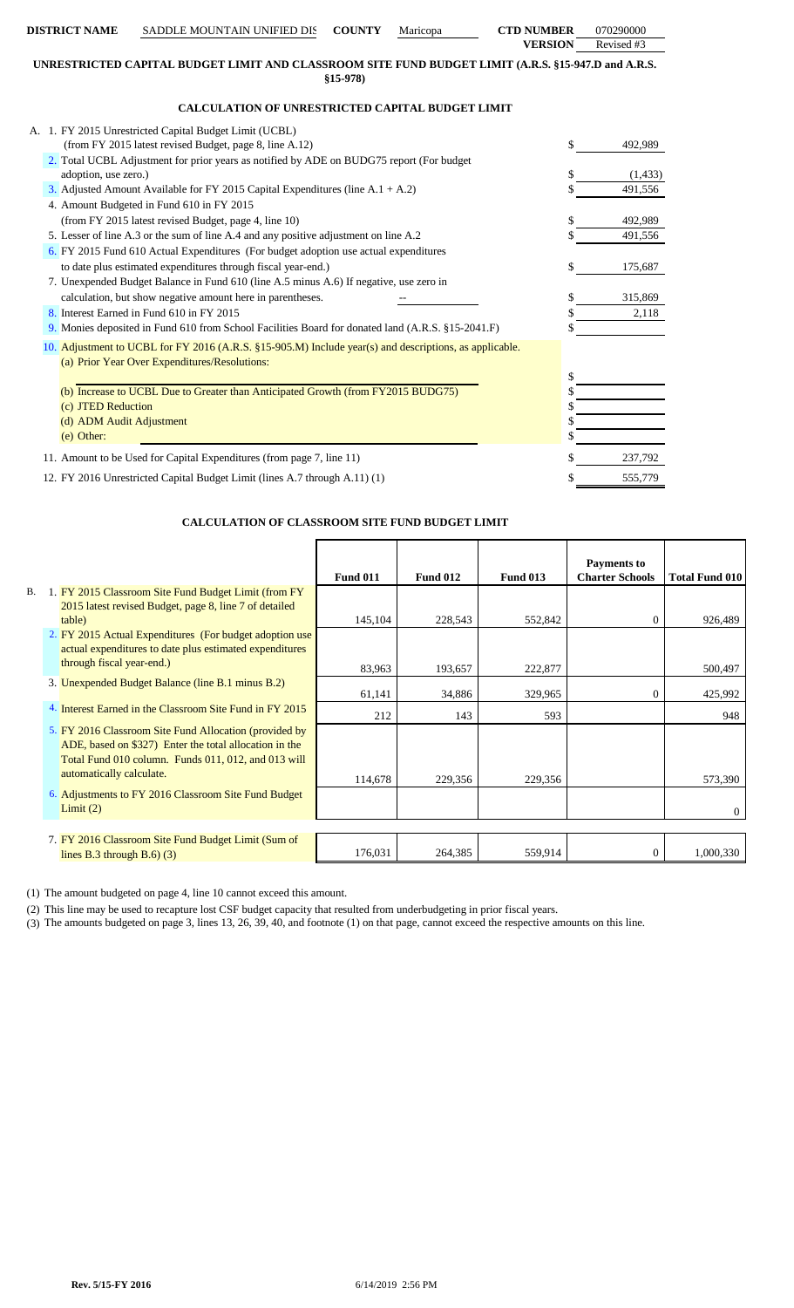| <b>DISTRICT NAME</b>     | SADDLE MOUNTAIN UNIFIED DIS                                                                            | <b>COUNTY</b> | Maricopa | <b>CTD NUMBER</b> | 070290000  |
|--------------------------|--------------------------------------------------------------------------------------------------------|---------------|----------|-------------------|------------|
|                          |                                                                                                        |               |          | <b>VERSION</b>    | Revised #3 |
|                          | UNRESTRICTED CAPITAL BUDGET LIMIT AND CLASSROOM SITE FUND BUDGET LIMIT (A.R.S. §15-947.D and A.R.S.    | $$15-978$     |          |                   |            |
|                          | <b>CALCULATION OF UNRESTRICTED CAPITAL BUDGET LIMIT</b>                                                |               |          |                   |            |
|                          | A. 1. FY 2015 Unrestricted Capital Budget Limit (UCBL)                                                 |               |          |                   |            |
|                          | (from FY 2015 latest revised Budget, page 8, line A.12)                                                |               |          |                   | 492,989    |
|                          | 2. Total UCBL Adjustment for prior years as notified by ADE on BUDG75 report (For budget               |               |          |                   |            |
| adoption, use zero.)     |                                                                                                        |               |          |                   | (1, 433)   |
|                          | 3. Adjusted Amount Available for FY 2015 Capital Expenditures (line A.1 + A.2)                         |               |          |                   | 491,556    |
|                          | 4. Amount Budgeted in Fund 610 in FY 2015                                                              |               |          |                   |            |
|                          | (from FY 2015 latest revised Budget, page 4, line 10)                                                  |               |          |                   | 492,989    |
|                          | 5. Lesser of line A.3 or the sum of line A.4 and any positive adjustment on line A.2                   |               |          |                   | 491,556    |
|                          | 6. FY 2015 Fund 610 Actual Expenditures (For budget adoption use actual expenditures                   |               |          |                   |            |
|                          | to date plus estimated expenditures through fiscal year-end.)                                          |               |          |                   | 175,687    |
|                          | 7. Unexpended Budget Balance in Fund 610 (line A.5 minus A.6) If negative, use zero in                 |               |          |                   |            |
|                          | calculation, but show negative amount here in parentheses.                                             |               |          | \$                | 315,869    |
|                          | 8. Interest Earned in Fund 610 in FY 2015                                                              |               |          |                   | 2,118      |
|                          | 9. Monies deposited in Fund 610 from School Facilities Board for donated land (A.R.S. §15-2041.F)      |               |          |                   |            |
|                          | 10. Adjustment to UCBL for FY 2016 (A.R.S. §15-905.M) Include year(s) and descriptions, as applicable. |               |          |                   |            |
|                          | (a) Prior Year Over Expenditures/Resolutions:                                                          |               |          |                   |            |
|                          |                                                                                                        |               |          | \$                |            |
|                          | (b) Increase to UCBL Due to Greater than Anticipated Growth (from FY2015 BUDG75)                       |               |          |                   |            |
| (c) JTED Reduction       |                                                                                                        |               |          |                   |            |
| (d) ADM Audit Adjustment |                                                                                                        |               |          |                   |            |
| (e) Other:               |                                                                                                        |               |          |                   |            |
|                          | 11. Amount to be Used for Capital Expenditures (from page 7, line 11)                                  |               |          |                   | 237,792    |
|                          | 12. FY 2016 Unrestricted Capital Budget Limit (lines A.7 through A.11) (1)                             |               |          | \$                | 555,779    |

### **CALCULATION OF CLASSROOM SITE FUND BUDGET LIMIT**

|           |                                                          | <b>Fund 011</b> | <b>Fund 012</b> | <b>Fund 013</b> | <b>Payments to</b><br><b>Charter Schools</b> | <b>Total Fund 010</b> |
|-----------|----------------------------------------------------------|-----------------|-----------------|-----------------|----------------------------------------------|-----------------------|
| <b>B.</b> | 1. FY 2015 Classroom Site Fund Budget Limit (from FY     |                 |                 |                 |                                              |                       |
|           | 2015 latest revised Budget, page 8, line 7 of detailed   |                 |                 |                 |                                              |                       |
|           | table)                                                   | 145,104         | 228,543         | 552,842         | $\Omega$                                     | 926,489               |
|           | 2. FY 2015 Actual Expenditures (For budget adoption use  |                 |                 |                 |                                              |                       |
|           | actual expenditures to date plus estimated expenditures  |                 |                 |                 |                                              |                       |
|           | through fiscal year-end.)                                | 83,963          | 193,657         | 222,877         |                                              | 500,497               |
|           | 3. Unexpended Budget Balance (line B.1 minus B.2)        | 61,141          | 34,886          | 329,965         | $\Omega$                                     | 425,992               |
|           | 4. Interest Earned in the Classroom Site Fund in FY 2015 | 212             | 143             | 593             |                                              | 948                   |
|           | 5. FY 2016 Classroom Site Fund Allocation (provided by   |                 |                 |                 |                                              |                       |
|           | ADE, based on \$327) Enter the total allocation in the   |                 |                 |                 |                                              |                       |
|           | Total Fund 010 column. Funds 011, 012, and 013 will      |                 |                 |                 |                                              |                       |
|           | automatically calculate.                                 | 114,678         | 229,356         | 229,356         |                                              | 573,390               |
|           | 6. Adjustments to FY 2016 Classroom Site Fund Budget     |                 |                 |                 |                                              |                       |
|           | Limit(2)                                                 |                 |                 |                 |                                              |                       |
|           |                                                          |                 |                 |                 |                                              |                       |
|           | 7. FY 2016 Classroom Site Fund Budget Limit (Sum of      |                 |                 |                 |                                              |                       |
|           | lines B.3 through B.6 $(3)$                              | 176,031         | 264,385         | 559,914         | $^{(1)}$                                     | 1,000,330             |

(1) The amount budgeted on page 4, line 10 cannot exceed this amount.

(2) This line may be used to recapture lost CSF budget capacity that resulted from underbudgeting in prior fiscal years.

(3) The amounts budgeted on page 3, lines 13, 26, 39, 40, and footnote (1) on that page, cannot exceed the respective amounts on this line.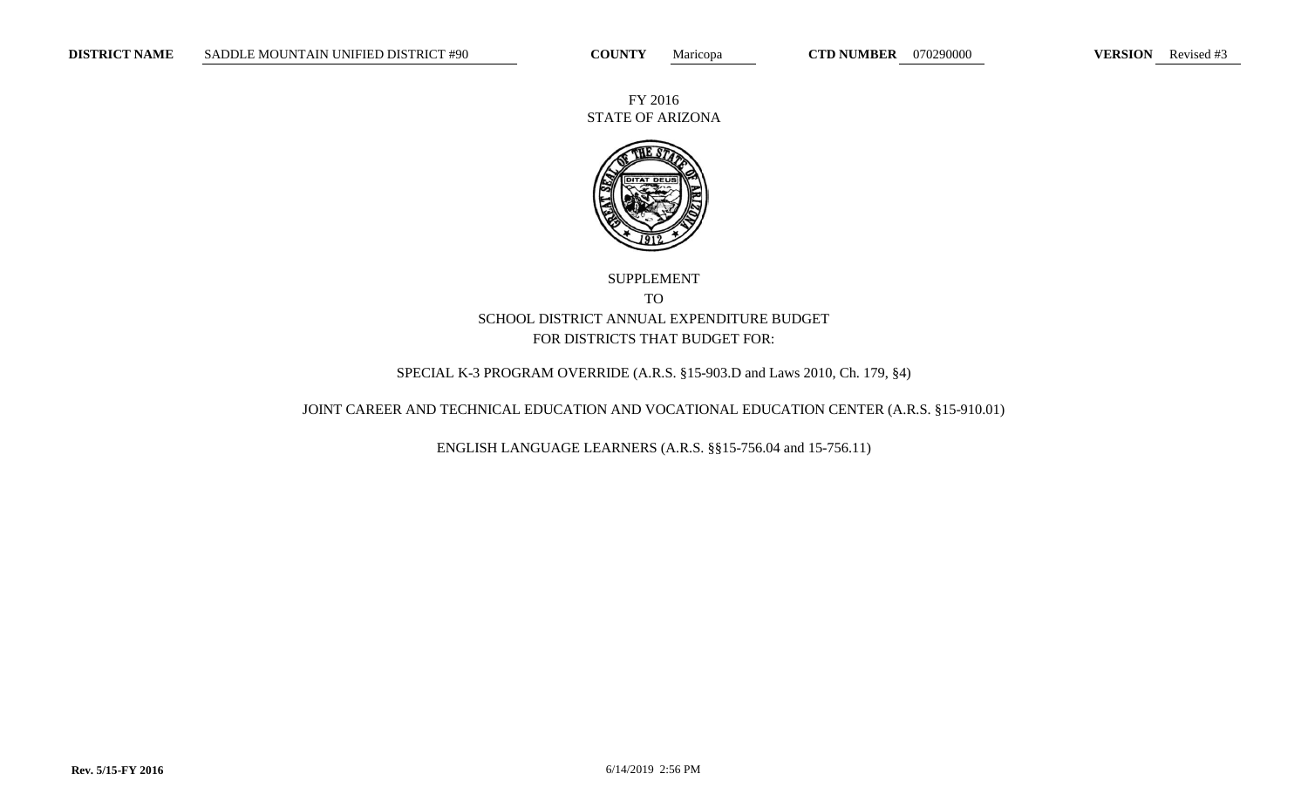FY 2016 STATE OF ARIZONA



SUPPLEMENT TO SCHOOL DISTRICT ANNUAL EXPENDITURE BUDGET FOR DISTRICTS THAT BUDGET FOR:

SPECIAL K-3 PROGRAM OVERRIDE (A.R.S. §15-903.D and Laws 2010, Ch. 179, §4)

JOINT CAREER AND TECHNICAL EDUCATION AND VOCATIONAL EDUCATION CENTER (A.R.S. §15-910.01)

ENGLISH LANGUAGE LEARNERS (A.R.S. §§15-756.04 and 15-756.11)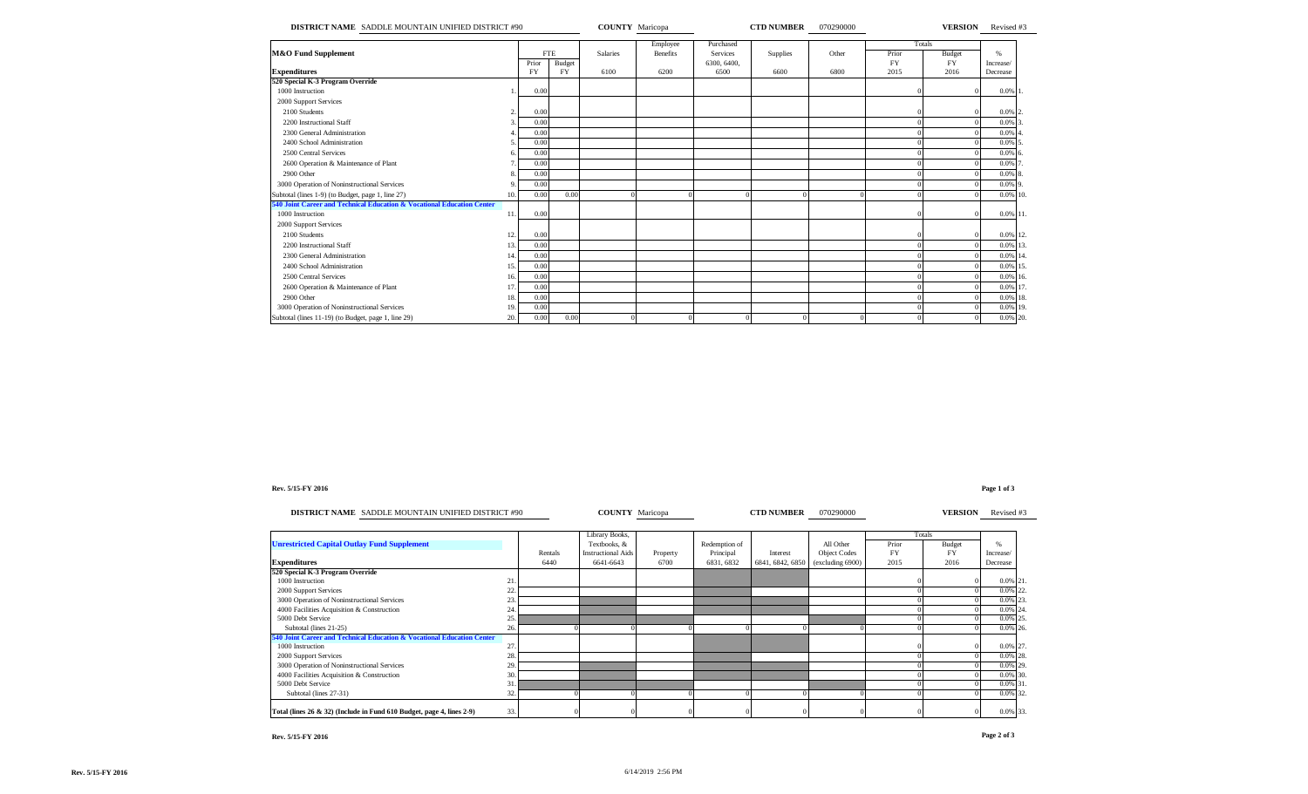| DISTRICT NAME SADDLE MOUNTAIN UNIFIED DISTRICT #90                     |     |            |           | <b>COUNTY</b> Maricopa |                             |                              | <b>CTD NUMBER</b> | 070290000 |                 |               | <b>VERSION</b> Revised #3 |
|------------------------------------------------------------------------|-----|------------|-----------|------------------------|-----------------------------|------------------------------|-------------------|-----------|-----------------|---------------|---------------------------|
| M&O Fund Supplement                                                    |     | <b>FTE</b> |           | <b>Salaries</b>        | Employee<br><b>Benefits</b> | Purchased<br><b>Services</b> | <b>Supplies</b>   | Other     | Totals<br>Prior | <b>Budget</b> | $\%$                      |
|                                                                        |     | Prior      | Budget    |                        |                             | 6300, 6400,                  |                   |           | FY              | <b>FY</b>     | Increase/                 |
| <b>Expenditures</b>                                                    |     | <b>FY</b>  | <b>FY</b> | 6100                   | 6200                        | 6500                         | 6600              | 6800      | 2015            | 2016          | Decrease                  |
| 520 Special K-3 Program Override                                       |     |            |           |                        |                             |                              |                   |           |                 |               |                           |
| 1000 Instruction                                                       |     | 0.00       |           |                        |                             |                              |                   |           |                 |               | $0.0\%$ 1.                |
| 2000 Support Services                                                  |     |            |           |                        |                             |                              |                   |           |                 |               |                           |
| 2100 Students                                                          |     | 0.00       |           |                        |                             |                              |                   |           |                 |               | $0.0\%$ 2                 |
| 2200 Instructional Staff                                               |     | 0.00       |           |                        |                             |                              |                   |           |                 |               | 0.0%                      |
| 2300 General Administration                                            |     | 0.00       |           |                        |                             |                              |                   |           |                 |               | 0.0%                      |
| 2400 School Administration                                             |     | 0.00       |           |                        |                             |                              |                   |           |                 |               | 0.0%                      |
| 2500 Central Services                                                  |     | 0.00       |           |                        |                             |                              |                   |           |                 |               | 0.0%                      |
| 2600 Operation & Maintenance of Plant                                  |     | 0.00       |           |                        |                             |                              |                   |           |                 |               | 0.0%                      |
| 2900 Other                                                             |     | 0.00       |           |                        |                             |                              |                   |           |                 |               | 0.0%                      |
| 3000 Operation of Noninstructional Services                            |     | 0.00       |           |                        |                             |                              |                   |           |                 |               | 0.0%                      |
| Subtotal (lines 1-9) (to Budget, page 1, line 27)                      | 10. | 0.00       | 0.00      |                        |                             |                              |                   |           |                 |               | 0.0% 10.                  |
| 540 Joint Career and Technical Education & Vocational Education Center |     |            |           |                        |                             |                              |                   |           |                 |               |                           |
| 1000 Instruction                                                       | 11. | 0.00       |           |                        |                             |                              |                   |           |                 | $\Omega$      | 0.0% 11.                  |
| 2000 Support Services                                                  |     |            |           |                        |                             |                              |                   |           |                 |               |                           |
| 2100 Students                                                          | 12. | 0.00       |           |                        |                             |                              |                   |           |                 | $\Omega$      | 0.0% 12.                  |
| 2200 Instructional Staff                                               | 13. | 0.00       |           |                        |                             |                              |                   |           |                 |               | 0.0%<br>13.               |
| 2300 General Administration                                            | 14  | 0.00       |           |                        |                             |                              |                   |           |                 |               | 0.0%<br>14                |
| 2400 School Administration                                             | 15. | 0.00       |           |                        |                             |                              |                   |           |                 |               | 0.0% 15.                  |
| 2500 Central Services                                                  | 16. | 0.00       |           |                        |                             |                              |                   |           |                 |               | 0.0% 16.                  |
| 2600 Operation & Maintenance of Plant                                  | 17  | 0.00       |           |                        |                             |                              |                   |           |                 |               | 0.0% 17.                  |
| 2900 Other                                                             | 18. | 0.00       |           |                        |                             |                              |                   |           |                 |               | 0.0% 18.                  |
| 3000 Operation of Noninstructional Services                            | 19. | 0.00       |           |                        |                             |                              |                   |           |                 |               | 0.0% 19.                  |
| Subtotal (lines 11-19) (to Budget, page 1, line 29)                    | 20. | 0.00       | 0.00      |                        |                             |                              |                   |           |                 |               | 0.0% 20.                  |

### **Rev. 5/15-FY 2016 Page 1 of 3**

| DISTRICT NAME SADDLE MOUNTAIN UNIFIED DISTRICT #90                     |      |         | <b>COUNTY</b> Maricopa    |              |               | <b>CTD NUMBER</b> | 070290000           |       | <b>VERSION</b> | Revised #3    |  |
|------------------------------------------------------------------------|------|---------|---------------------------|--------------|---------------|-------------------|---------------------|-------|----------------|---------------|--|
|                                                                        |      |         | Library Books,            |              |               |                   |                     |       | Totals         |               |  |
| <b>Unrestricted Capital Outlay Fund Supplement</b>                     |      |         | Textbooks, &              |              | Redemption of |                   | All Other           | Prior | <b>Budget</b>  | $\frac{0}{6}$ |  |
|                                                                        |      | Rentals | <b>Instructional Aids</b> | Property     | Principal     | Interest          | <b>Object Codes</b> | FY    | <b>FY</b>      | Increase/     |  |
| <b>Expenditures</b>                                                    |      | 6440    | 6641-6643                 | 6700         | 6831, 6832    | 6841, 6842, 6850  | (excluding 6900)    | 2015  | 2016           | Decrease      |  |
| 520 Special K-3 Program Override                                       |      |         |                           |              |               |                   |                     |       |                |               |  |
| 1000 Instruction                                                       | 21   |         |                           |              |               |                   |                     |       |                | 0.0% 21.      |  |
| 2000 Support Services                                                  | 22.  |         |                           |              |               |                   |                     |       |                | 0.0% 22.      |  |
| 3000 Operation of Noninstructional Services                            | 23.  |         |                           |              |               |                   |                     |       |                | 0.0% 23.      |  |
| 4000 Facilities Acquisition & Construction                             | 24   |         |                           |              |               |                   |                     |       |                | 0.0% 24.      |  |
| 5000 Debt Service                                                      | 25   |         |                           |              |               |                   |                     |       |                | 0.0% 25.      |  |
| Subtotal (lines 21-25)                                                 | 26.  |         |                           |              |               |                   |                     |       |                | 0.0% 26.      |  |
| 540 Joint Career and Technical Education & Vocational Education Center |      |         |                           |              |               |                   |                     |       |                |               |  |
| 1000 Instruction                                                       | 27   |         |                           |              |               |                   |                     |       |                | 0.0% 27.      |  |
| 2000 Support Services                                                  | 28.  |         |                           |              |               |                   |                     |       |                | $0.0\%$ 28.   |  |
| 3000 Operation of Noninstructional Services                            | 29.  |         |                           |              |               |                   |                     |       |                | 0.0% 29.      |  |
| 4000 Facilities Acquisition & Construction                             | 30.  |         |                           |              |               |                   |                     |       |                | 0.0% 30.      |  |
| 5000 Debt Service                                                      |      |         |                           |              |               |                   |                     |       |                | 0.0% 31.      |  |
| Subtotal (lines 27-31)                                                 | 32.  |         |                           |              |               |                   |                     |       |                | 0.0% 32.      |  |
| Total (lines 26 & 32) (Include in Fund 610 Budget, page 4, lines 2-9)  | 33.1 |         |                           | $\mathbf{0}$ |               |                   |                     |       |                | 0.0% 33.      |  |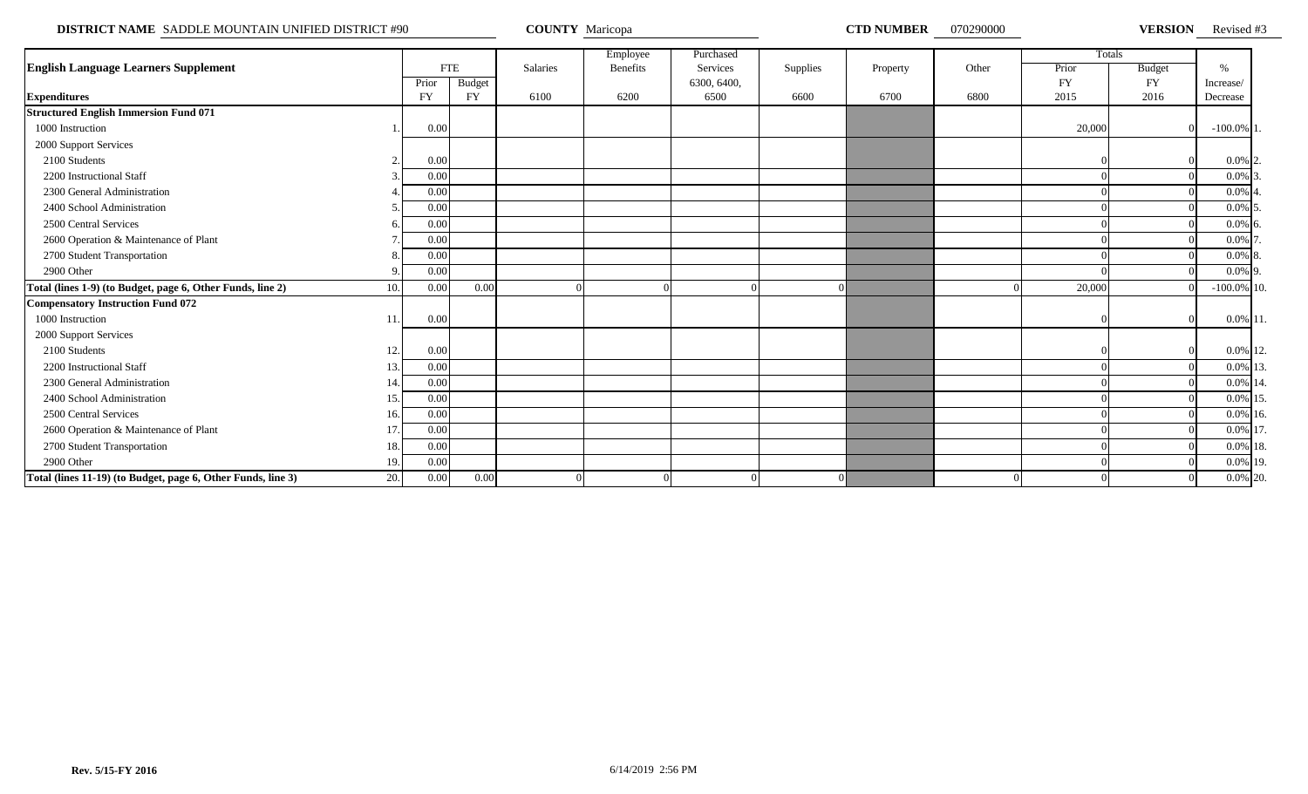**DISTRICT NAME** SADDLE MOUNTAIN UNIFIED DISTRICT #90 **COUNTY Maricopa COUNTY Maricopa CTD NUMBER** 070290000 **VERSION** 

VERSION Revised #3

|                                                                     |             |               |          | Employee        | Purchased   |          |          |       |           | Totals        |                |  |
|---------------------------------------------------------------------|-------------|---------------|----------|-----------------|-------------|----------|----------|-------|-----------|---------------|----------------|--|
| <b>English Language Learners Supplement</b>                         |             | <b>FTE</b>    | Salaries | <b>Benefits</b> | Services    | Supplies | Property | Other | Prior     | <b>Budget</b> | $\%$           |  |
|                                                                     | Prior       | <b>Budget</b> |          |                 | 6300, 6400, |          |          |       | <b>FY</b> | <b>FY</b>     | Increase/      |  |
| <b>Expenditures</b>                                                 | <b>FY</b>   | <b>FY</b>     | 6100     | 6200            | 6500        | 6600     | 6700     | 6800  | 2015      | 2016          | Decrease       |  |
| <b>Structured English Immersion Fund 071</b>                        |             |               |          |                 |             |          |          |       |           |               |                |  |
| 1000 Instruction                                                    | 0.00        |               |          |                 |             |          |          |       | 20,000    |               | $-100.0\%$ 1   |  |
| 2000 Support Services                                               |             |               |          |                 |             |          |          |       |           |               |                |  |
| 2100 Students                                                       | 0.00        |               |          |                 |             |          |          |       |           |               | $0.0\%$ 2.     |  |
| 2200 Instructional Staff                                            | 0.00        |               |          |                 |             |          |          |       |           |               | $0.0\%$ 3      |  |
| 2300 General Administration                                         | 0.00        |               |          |                 |             |          |          |       |           |               | $0.0\%$ 4      |  |
| 2400 School Administration                                          | 0.00        |               |          |                 |             |          |          |       |           |               | $0.0\%$ 5      |  |
| 2500 Central Services                                               | 0.00        |               |          |                 |             |          |          |       |           |               | $0.0\%$ 6      |  |
| 2600 Operation & Maintenance of Plant                               | 0.00        |               |          |                 |             |          |          |       |           |               | $0.0\%$ 7      |  |
| 2700 Student Transportation                                         | 0.00        |               |          |                 |             |          |          |       |           |               | $0.0\%$ 8.     |  |
| 2900 Other                                                          | 0.00        |               |          |                 |             |          |          |       |           |               | $0.0\%$ 9.     |  |
| Total (lines 1-9) (to Budget, page 6, Other Funds, line 2)          | 10.<br>0.00 | 0.00          |          |                 |             |          |          |       | 20,000    |               | $-100.0\%$ 10. |  |
| <b>Compensatory Instruction Fund 072</b>                            |             |               |          |                 |             |          |          |       |           |               |                |  |
| 1000 Instruction<br>11                                              | 0.00        |               |          |                 |             |          |          |       |           |               | $0.0\%$ 11.    |  |
| 2000 Support Services                                               |             |               |          |                 |             |          |          |       |           |               |                |  |
| 2100 Students                                                       | 12.<br>0.00 |               |          |                 |             |          |          |       |           |               | 0.0% 12.       |  |
| 2200 Instructional Staff<br>13.                                     | 0.00        |               |          |                 |             |          |          |       |           |               | 0.0% 13        |  |
| 2300 General Administration<br>14                                   | 0.00        |               |          |                 |             |          |          |       |           |               | 0.0% 14        |  |
| 2400 School Administration<br>15.                                   | 0.00        |               |          |                 |             |          |          |       |           |               | 0.0% 15        |  |
| 2500 Central Services                                               | 0.00<br>16. |               |          |                 |             |          |          |       |           |               | 0.0% 16.       |  |
| 2600 Operation & Maintenance of Plant<br>17.                        | 0.00        |               |          |                 |             |          |          |       |           |               | 0.0% 17        |  |
| 2700 Student Transportation<br>18.                                  | 0.00        |               |          |                 |             |          |          |       |           |               | 0.0% 18.       |  |
| 2900 Other<br>19.                                                   | 0.00        |               |          |                 |             |          |          |       |           |               | 0.0% 19.       |  |
| Total (lines 11-19) (to Budget, page 6, Other Funds, line 3)<br>20. | 0.00        | 0.00          |          |                 |             |          |          |       |           |               | 0.0% 20.       |  |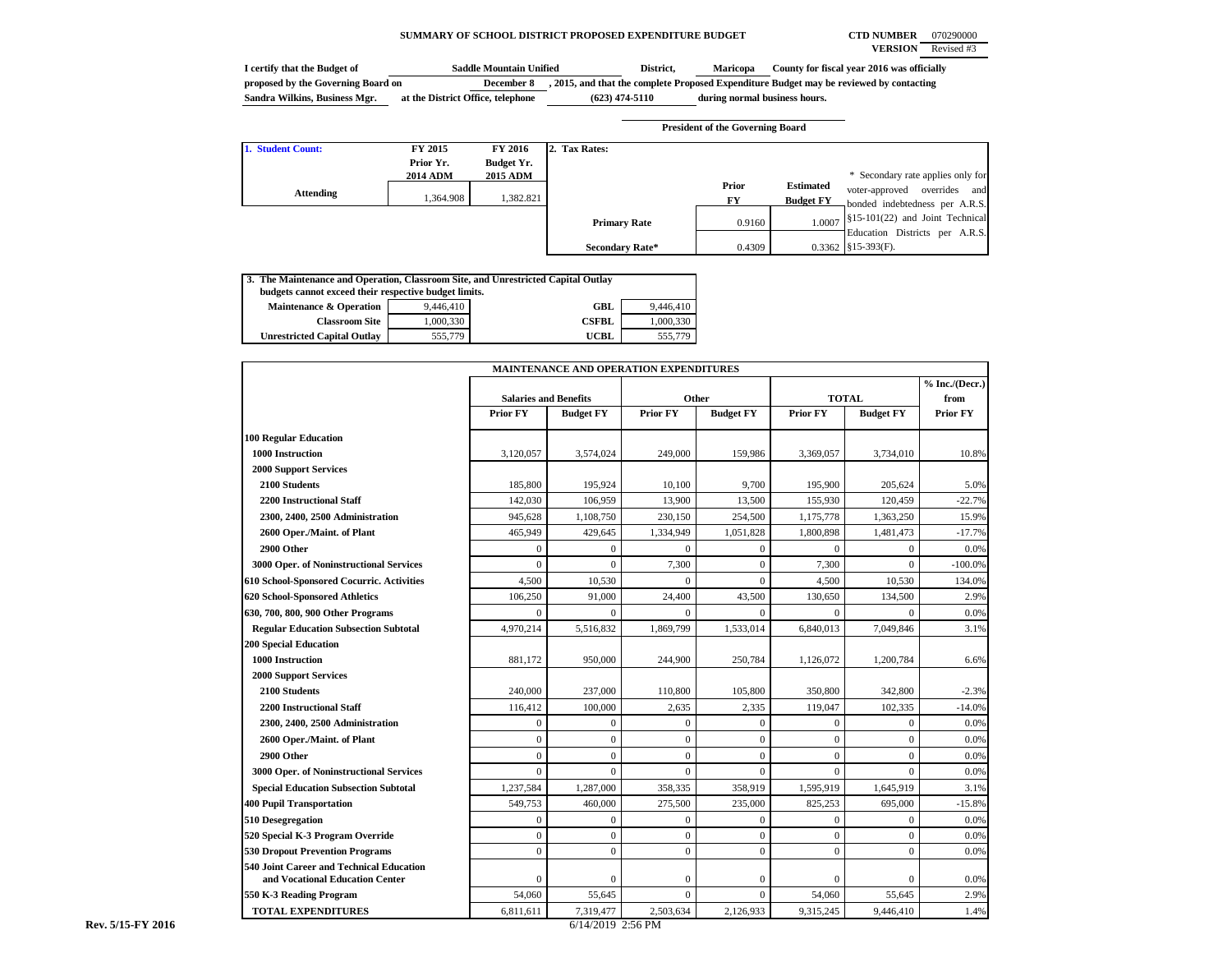### **SUMMARY OF SCHOOL DISTRICT PROPOSED EXPENDITURE BUDGET CTD NUMBER** 070290000

**VERSION** Revised #3

| I certify that the Budget of       | <b>Saddle Mountain Unified</b>    | District.        | <b>Maricopa</b>               | County for fiscal year 2016 was officially                                            |
|------------------------------------|-----------------------------------|------------------|-------------------------------|---------------------------------------------------------------------------------------|
| proposed by the Governing Board on | December 8                        |                  |                               | 2015, and that the complete Proposed Expenditure Budget may be reviewed by contacting |
| Sandra Wilkins, Business Mgr.      | at the District Office, telephone | $(623)$ 474-5110 | during normal business hours. |                                                                                       |

|                   |                 |                 |                        | <b>President of the Governing Board</b> |                  |                                   |
|-------------------|-----------------|-----------------|------------------------|-----------------------------------------|------------------|-----------------------------------|
| 1. Student Count: | FY 2015         | FY 2016         | 2. Tax Rates:          |                                         |                  |                                   |
|                   | Prior Yr.       | Budget Yr.      |                        |                                         |                  |                                   |
|                   | <b>2014 ADM</b> | <b>2015 ADM</b> |                        |                                         |                  | * Secondary rate applies only for |
| Attending         |                 |                 |                        | Prior                                   | <b>Estimated</b> | voter-approved overrides and      |
|                   | 1.364.908       | 1,382.821       |                        | FY                                      | <b>Budget FY</b> | bonded indebtedness per A.R.S.    |
|                   |                 |                 | <b>Primary Rate</b>    | 0.9160                                  | 1.0007           | §15-101(22) and Joint Technical   |
|                   |                 |                 |                        |                                         |                  | Education Districts per A.R.S.    |
|                   |                 |                 | <b>Secondary Rate*</b> | 0.4309                                  |                  | $0.3362$ \, §15-393(F).           |

|                                                       |           | 3. The Maintenance and Operation, Classroom Site, and Unrestricted Capital Outlay |           |  |  |  |  |  |  |  |
|-------------------------------------------------------|-----------|-----------------------------------------------------------------------------------|-----------|--|--|--|--|--|--|--|
| budgets cannot exceed their respective budget limits. |           |                                                                                   |           |  |  |  |  |  |  |  |
| Maintenance & Operation                               | 9,446,410 | <b>GBL</b>                                                                        | 9.446.410 |  |  |  |  |  |  |  |
| <b>Classroom Site</b>                                 | 1.000.330 | <b>CSFBL</b>                                                                      | 1.000.330 |  |  |  |  |  |  |  |
| <b>Unrestricted Capital Outlay</b>                    | 555,779   | <b>UCBL</b>                                                                       | 555,779   |  |  |  |  |  |  |  |

|                   | MAINTENANCE AND OPERATION EXPENDITURES                                      |                              |                   |                 |                  |                 |                  |           |
|-------------------|-----------------------------------------------------------------------------|------------------------------|-------------------|-----------------|------------------|-----------------|------------------|-----------|
|                   |                                                                             |                              |                   |                 |                  |                 | % Inc. / (Decr.) |           |
|                   |                                                                             | <b>Salaries and Benefits</b> |                   | Other           |                  | <b>TOTAL</b>    |                  | from      |
|                   |                                                                             | <b>Prior FY</b>              | <b>Budget FY</b>  | <b>Prior FY</b> | <b>Budget FY</b> | <b>Prior FY</b> | <b>Budget FY</b> | Prior FY  |
|                   | <b>100 Regular Education</b>                                                |                              |                   |                 |                  |                 |                  |           |
|                   | 1000 Instruction                                                            | 3,120,057                    | 3,574,024         | 249,000         | 159,986          | 3,369,057       | 3,734,010        | 10.8%     |
|                   | <b>2000 Support Services</b>                                                |                              |                   |                 |                  |                 |                  |           |
|                   | 2100 Students                                                               | 185,800                      | 195,924           | 10,100          | 9,700            | 195,900         | 205,624          | 5.0%      |
|                   | <b>2200 Instructional Staff</b>                                             | 142,030                      | 106,959           | 13,900          | 13,500           | 155,930         | 120,459          | $-22.7%$  |
|                   | 2300, 2400, 2500 Administration                                             | 945,628                      | 1,108,750         | 230,150         | 254,500          | 1,175,778       | 1,363,250        | 15.9%     |
|                   | 2600 Oper./Maint. of Plant                                                  | 465,949                      | 429,645           | 1,334,949       | 1,051,828        | 1,800,898       | 1,481,473        | $-17.7%$  |
|                   | 2900 Other                                                                  | $\mathbf{0}$                 | $\mathbf{0}$      | $\Omega$        | $\Omega$         | $\Omega$        | $\Omega$         | 0.0%      |
|                   | 3000 Oper. of Noninstructional Services                                     | $\Omega$                     | $\mathbf{0}$      | 7,300           | $\Omega$         | 7,300           | $\Omega$         | $-100.0%$ |
|                   | 610 School-Sponsored Cocurric. Activities                                   | 4,500                        | 10,530            | $\Omega$        | $\Omega$         | 4,500           | 10,530           | 134.0%    |
|                   | 620 School-Sponsored Athletics                                              | 106,250                      | 91,000            | 24,400          | 43,500           | 130,650         | 134,500          | 2.9%      |
|                   | 630, 700, 800, 900 Other Programs                                           | $\mathbf{0}$                 | $\Omega$          | $\Omega$        | $\Omega$         | $\Omega$        |                  | 0.0%      |
|                   | <b>Regular Education Subsection Subtotal</b>                                | 4,970,214                    | 5,516,832         | 1,869,799       | 1,533,014        | 6,840,013       | 7,049,846        | 3.1%      |
|                   | <b>200 Special Education</b>                                                |                              |                   |                 |                  |                 |                  |           |
|                   | 1000 Instruction                                                            | 881,172                      | 950,000           | 244,900         | 250,784          | 1,126,072       | 1,200,784        | 6.6%      |
|                   | <b>2000 Support Services</b>                                                |                              |                   |                 |                  |                 |                  |           |
|                   | 2100 Students                                                               | 240,000                      | 237,000           | 110,800         | 105,800          | 350,800         | 342,800          | $-2.3%$   |
|                   | 2200 Instructional Staff                                                    | 116,412                      | 100,000           | 2,635           | 2,335            | 119,047         | 102,335          | $-14.0%$  |
|                   | 2300, 2400, 2500 Administration                                             | $\mathbf{0}$                 | $\overline{0}$    | $\Omega$        | $\Omega$         | $\Omega$        | $\mathbf{0}$     | 0.0%      |
|                   | 2600 Oper./Maint. of Plant                                                  | $\Omega$                     | $\mathbf{0}$      | $\Omega$        | $\Omega$         | $\Omega$        | $\Omega$         | 0.0%      |
|                   | 2900 Other                                                                  | $\Omega$                     | $\mathbf{0}$      | $\Omega$        | $\Omega$         | $\Omega$        | $\Omega$         | 0.0%      |
|                   | 3000 Oper. of Noninstructional Services                                     | $\mathbf{0}$                 | $\mathbf{0}$      | $\overline{0}$  | $\mathbf{0}$     | $\overline{0}$  | $\Omega$         | 0.0%      |
|                   | <b>Special Education Subsection Subtotal</b>                                | 1,237,584                    | 1,287,000         | 358,335         | 358,919          | 1,595,919       | 1,645,919        | 3.1%      |
|                   | <b>400 Pupil Transportation</b>                                             | 549,753                      | 460,000           | 275,500         | 235,000          | 825,253         | 695,000          | $-15.8%$  |
|                   | 510 Desegregation                                                           | $\mathbf{0}$                 | $\mathbf{0}$      | $\theta$        | $\Omega$         | $\mathbf{0}$    | $\Omega$         | 0.0%      |
|                   | 520 Special K-3 Program Override                                            | $\overline{0}$               | $\mathbf{0}$      | $\theta$        | $\overline{0}$   | $\overline{0}$  | $\mathbf{0}$     | 0.0%      |
|                   | <b>530 Dropout Prevention Programs</b>                                      | $\mathbf{0}$                 | $\mathbf{0}$      | $\overline{0}$  | $\overline{0}$   | $\overline{0}$  | $\mathbf{0}$     | 0.0%      |
|                   | 540 Joint Career and Technical Education<br>and Vocational Education Center | $\theta$                     | $\theta$          | $\theta$        | $\mathbf{0}$     | $\overline{0}$  | $\Omega$         | 0.0%      |
|                   | 550 K-3 Reading Program                                                     | 54,060                       | 55,645            | $\Omega$        | $\Omega$         | 54,060          | 55,645           | 2.9%      |
|                   | <b>TOTAL EXPENDITURES</b>                                                   | 6,811,611                    | 7,319,477         | 2,503,634       | 2,126,933        | 9,315,245       | 9,446,410        | 1.4%      |
| Rev. 5/15-FY 2016 |                                                                             |                              | 6/14/2019 2:56 PM |                 |                  |                 |                  |           |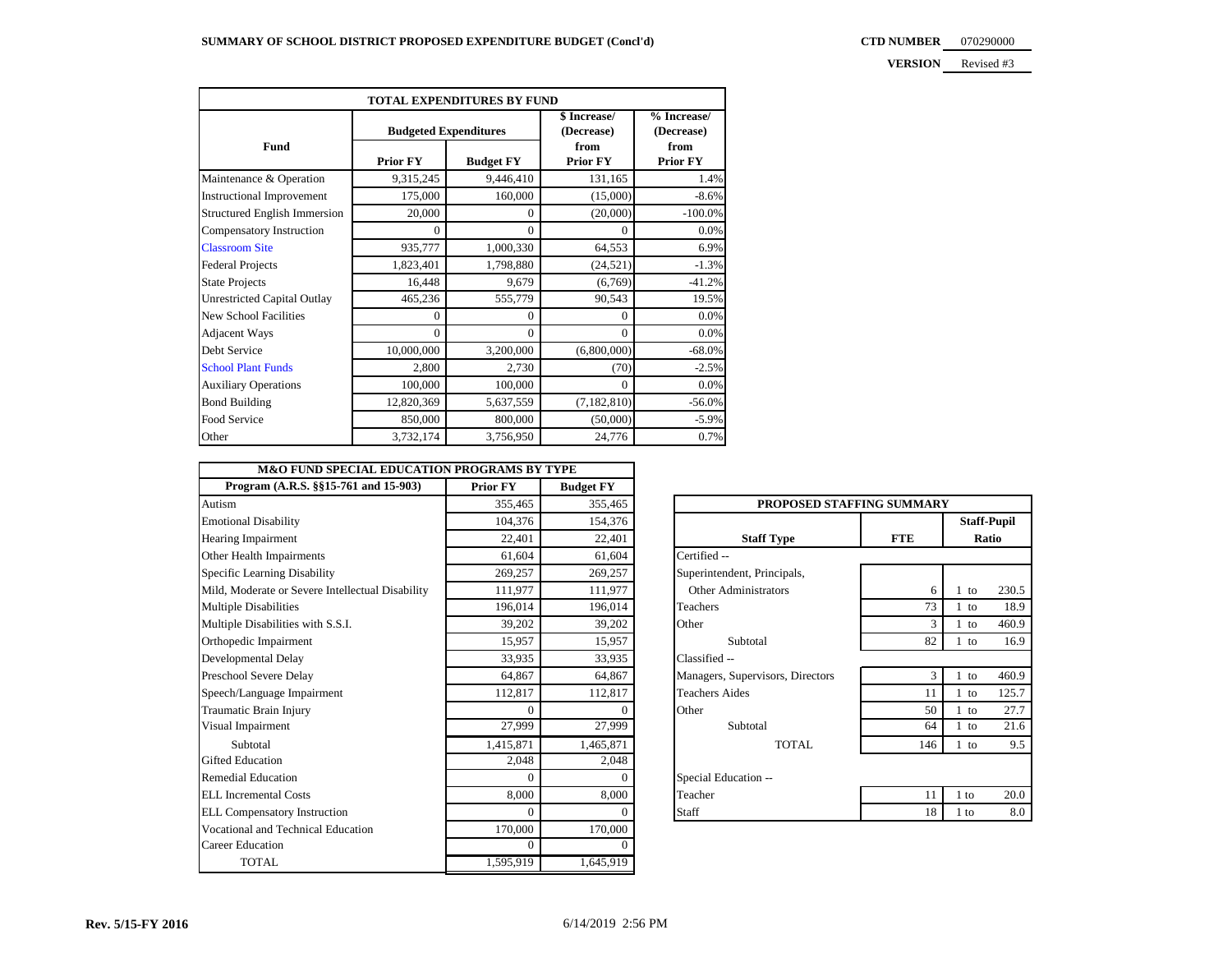**CTD NUMBER** 070290000

**VERSION** Revised #3

| TOTAL EXPENDITURES BY FUND          |                                     |           |                            |                           |  |  |
|-------------------------------------|-------------------------------------|-----------|----------------------------|---------------------------|--|--|
|                                     | <b>Budgeted Expenditures</b>        |           | \$ Increase/<br>(Decrease) | % Increase/<br>(Decrease) |  |  |
| Fund                                | <b>Prior FY</b><br><b>Budget FY</b> |           | from<br><b>Prior FY</b>    | from<br><b>Prior FY</b>   |  |  |
| Maintenance & Operation             | 9,315,245                           | 9,446,410 | 131,165                    | 1.4%                      |  |  |
| <b>Instructional Improvement</b>    | 175,000                             | 160,000   | (15,000)                   | $-8.6%$                   |  |  |
| <b>Structured English Immersion</b> | 20,000                              | $\Omega$  | (20,000)                   | $-100.0\%$                |  |  |
| Compensatory Instruction            | $\mathbf{0}$                        | $\Omega$  | $\Omega$                   | 0.0%                      |  |  |
| <b>Classroom Site</b>               | 935,777                             | 1,000,330 | 64,553                     | 6.9%                      |  |  |
| <b>Federal Projects</b>             | 1,823,401                           | 1,798,880 | (24, 521)                  | $-1.3%$                   |  |  |
| <b>State Projects</b>               | 16,448                              | 9,679     | (6,769)                    | $-41.2%$                  |  |  |
| <b>Unrestricted Capital Outlay</b>  | 465,236                             | 555,779   | 90,543                     | 19.5%                     |  |  |
| New School Facilities               | $\Omega$                            | $\Omega$  | $\Omega$                   | 0.0%                      |  |  |
| Adjacent Ways                       | $\mathbf{0}$                        | $\Omega$  | $\Omega$                   | 0.0%                      |  |  |
| Debt Service                        | 10,000,000                          | 3,200,000 | (6,800,000)                | $-68.0%$                  |  |  |
| <b>School Plant Funds</b>           | 2,800                               | 2,730     | (70)                       | $-2.5%$                   |  |  |
| <b>Auxiliary Operations</b>         | 100,000                             | 100,000   | $\Omega$                   | 0.0%                      |  |  |
| <b>Bond Building</b>                | 12,820,369                          | 5,637,559 | (7, 182, 810)              | $-56.0%$                  |  |  |
| Food Service                        | 850,000                             | 800,000   | (50,000)                   | $-5.9%$                   |  |  |
| Other                               | 3,732,174                           | 3,756,950 | 24,776                     | 0.7%                      |  |  |

| <b>M&amp;O FUND SPECIAL EDUCATION PROGRAMS BY TYPE</b> |                 |                  |                                  |            |        |                    |
|--------------------------------------------------------|-----------------|------------------|----------------------------------|------------|--------|--------------------|
| Program (A.R.S. §§15-761 and 15-903)                   | <b>Prior FY</b> | <b>Budget FY</b> |                                  |            |        |                    |
| Autism                                                 | 355,465         | 355,465          | PROPOSED STAFFING SUMMARY        |            |        |                    |
| <b>Emotional Disability</b>                            | 104,376         | 154,376          |                                  |            |        | <b>Staff-Pupil</b> |
| Hearing Impairment                                     | 22.401          | 22.401           | <b>Staff Type</b>                | <b>FTE</b> |        | Ratio              |
| Other Health Impairments                               | 61.604          | 61,604           | Certified --                     |            |        |                    |
| Specific Learning Disability                           | 269,257         | 269,257          | Superintendent, Principals,      |            |        |                    |
| Mild, Moderate or Severe Intellectual Disability       | 111,977         | 111,977          | Other Administrators             | 6          | $1$ to | 230.5              |
| <b>Multiple Disabilities</b>                           | 196,014         | 196,014          | Teachers                         | 73         | $1$ to | 18.9               |
| Multiple Disabilities with S.S.I.                      | 39.202          | 39,202           | Other                            | 3          | 1 to   | 460.9              |
| Orthopedic Impairment                                  | 15,957          | 15,957           | Subtotal                         | 82         | $1$ to | 16.9               |
| Developmental Delay                                    | 33.935          | 33,935           | Classified --                    |            |        |                    |
| Preschool Severe Delay                                 | 64.867          | 64,867           | Managers, Supervisors, Directors | 3          | $1$ to | 460.9              |
| Speech/Language Impairment                             | 112,817         | 112,817          | <b>Teachers Aides</b>            | 11         | $1$ to | 125.7              |
| Traumatic Brain Injury                                 | $\Omega$        | 0                | Other                            | 50         | $1$ to | 27.7               |
| Visual Impairment                                      | 27,999          | 27,999           | Subtotal                         | 64         | 1 to   | 21.6               |
| Subtotal                                               | 1,415,871       | 1,465,871        | <b>TOTAL</b>                     | 146        | $1$ to | 9.5                |
| <b>Gifted Education</b>                                | 2,048           | 2,048            |                                  |            |        |                    |
| <b>Remedial Education</b>                              | $\theta$        | $\Omega$         | Special Education --             |            |        |                    |
| <b>ELL</b> Incremental Costs                           | 8,000           | 8,000            | Teacher                          | 11         | $1$ to | 20.0               |
| <b>ELL Compensatory Instruction</b>                    | $\Omega$        | $\theta$         | Staff                            | 18         | $1$ to | 8.0                |
| Vocational and Technical Education                     | 170,000         | 170,000          |                                  |            |        |                    |
| <b>Career Education</b>                                | $\overline{0}$  | $\theta$         |                                  |            |        |                    |
| <b>TOTAL</b>                                           | 1,595,919       | 1,645,919        |                                  |            |        |                    |

| PROPOSED STAFFING SUMMARY        |            |                             |       |  |  |  |
|----------------------------------|------------|-----------------------------|-------|--|--|--|
| <b>Staff Type</b>                | <b>FTE</b> | <b>Staff-Pupil</b><br>Ratio |       |  |  |  |
| Certified --                     |            |                             |       |  |  |  |
| Superintendent, Principals,      |            |                             |       |  |  |  |
| <b>Other Administrators</b>      | 6          | 1<br>to                     | 230.5 |  |  |  |
| Teachers                         | 73         | $1$ to                      | 18.9  |  |  |  |
| Other                            | 3          | $1$ to                      | 460.9 |  |  |  |
| Subtotal                         | 82         | $1$ to                      | 16.9  |  |  |  |
| Classified --                    |            |                             |       |  |  |  |
| Managers, Supervisors, Directors | 3          | $1$ to                      | 460.9 |  |  |  |
| <b>Teachers Aides</b>            | 11         | $1$ to                      | 125.7 |  |  |  |
| Other                            | 50         | $1$ to                      | 27.7  |  |  |  |
| Subtotal                         | 64         | $1$ to                      | 21.6  |  |  |  |
| TOTAL                            | 146        | $1$ to                      | 9.5   |  |  |  |
| Special Education --             |            |                             |       |  |  |  |
| Teacher                          | 11         | $1$ to                      | 20.0  |  |  |  |
| Staff                            | 18         | 1 to                        | 8.0   |  |  |  |